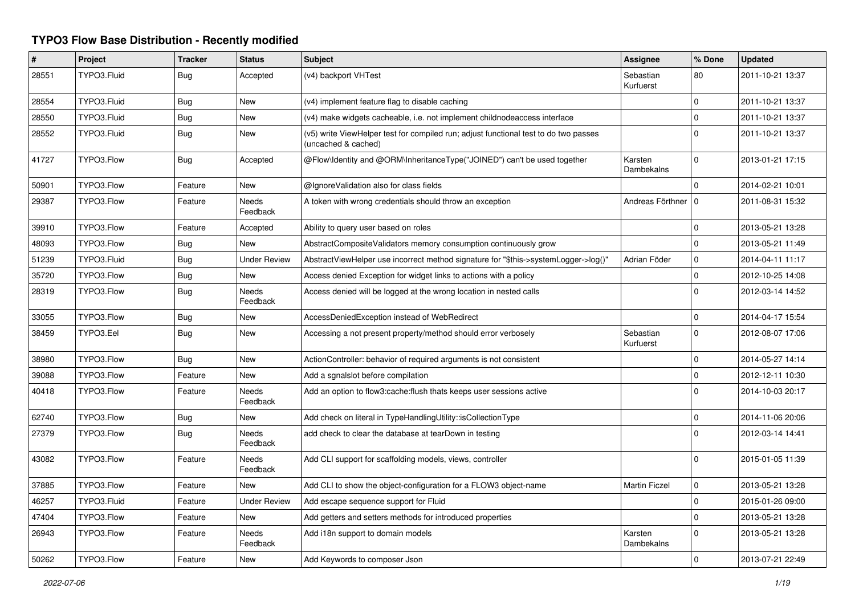## **TYPO3 Flow Base Distribution - Recently modified**

| #     | Project     | <b>Tracker</b> | <b>Status</b>            | <b>Subject</b>                                                                                              | Assignee               | % Done         | <b>Updated</b>   |
|-------|-------------|----------------|--------------------------|-------------------------------------------------------------------------------------------------------------|------------------------|----------------|------------------|
| 28551 | TYPO3.Fluid | <b>Bug</b>     | Accepted                 | (v4) backport VHTest                                                                                        | Sebastian<br>Kurfuerst | 80             | 2011-10-21 13:37 |
| 28554 | TYPO3.Fluid | Bug            | <b>New</b>               | (v4) implement feature flag to disable caching                                                              |                        | $\mathbf 0$    | 2011-10-21 13:37 |
| 28550 | TYPO3.Fluid | Bug            | New                      | (v4) make widgets cacheable, i.e. not implement childnodeaccess interface                                   |                        | $\mathbf 0$    | 2011-10-21 13:37 |
| 28552 | TYPO3.Fluid | <b>Bug</b>     | New                      | (v5) write ViewHelper test for compiled run; adjust functional test to do two passes<br>(uncached & cached) |                        | $\overline{0}$ | 2011-10-21 13:37 |
| 41727 | TYPO3.Flow  | Bug            | Accepted                 | @Flow\Identity and @ORM\InheritanceType("JOINED") can't be used together                                    | Karsten<br>Dambekalns  | $\Omega$       | 2013-01-21 17:15 |
| 50901 | TYPO3.Flow  | Feature        | New                      | @IgnoreValidation also for class fields                                                                     |                        | $\mathbf 0$    | 2014-02-21 10:01 |
| 29387 | TYPO3.Flow  | Feature        | <b>Needs</b><br>Feedback | A token with wrong credentials should throw an exception                                                    | Andreas Förthner   0   |                | 2011-08-31 15:32 |
| 39910 | TYPO3.Flow  | Feature        | Accepted                 | Ability to query user based on roles                                                                        |                        | $\mathbf 0$    | 2013-05-21 13:28 |
| 48093 | TYPO3.Flow  | <b>Bug</b>     | <b>New</b>               | AbstractCompositeValidators memory consumption continuously grow                                            |                        | $\overline{0}$ | 2013-05-21 11:49 |
| 51239 | TYPO3.Fluid | Bug            | <b>Under Review</b>      | AbstractViewHelper use incorrect method signature for "\$this->systemLogger->log()"                         | Adrian Föder           | $\mathbf 0$    | 2014-04-11 11:17 |
| 35720 | TYPO3.Flow  | <b>Bug</b>     | New                      | Access denied Exception for widget links to actions with a policy                                           |                        | $\mathbf 0$    | 2012-10-25 14:08 |
| 28319 | TYPO3.Flow  | Bug            | <b>Needs</b><br>Feedback | Access denied will be logged at the wrong location in nested calls                                          |                        | $\Omega$       | 2012-03-14 14:52 |
| 33055 | TYPO3.Flow  | <b>Bug</b>     | <b>New</b>               | AccessDeniedException instead of WebRedirect                                                                |                        | $\mathbf 0$    | 2014-04-17 15:54 |
| 38459 | TYPO3.Eel   | <b>Bug</b>     | New                      | Accessing a not present property/method should error verbosely                                              | Sebastian<br>Kurfuerst | $\overline{0}$ | 2012-08-07 17:06 |
| 38980 | TYPO3.Flow  | <b>Bug</b>     | New                      | ActionController: behavior of required arguments is not consistent                                          |                        | $\overline{0}$ | 2014-05-27 14:14 |
| 39088 | TYPO3.Flow  | Feature        | <b>New</b>               | Add a sgnalslot before compilation                                                                          |                        | $\mathbf 0$    | 2012-12-11 10:30 |
| 40418 | TYPO3.Flow  | Feature        | Needs<br>Feedback        | Add an option to flow3:cache: flush thats keeps user sessions active                                        |                        | $\Omega$       | 2014-10-03 20:17 |
| 62740 | TYPO3.Flow  | Bug            | New                      | Add check on literal in TypeHandlingUtility::isCollectionType                                               |                        | $\mathbf 0$    | 2014-11-06 20:06 |
| 27379 | TYPO3.Flow  | Bug            | <b>Needs</b><br>Feedback | add check to clear the database at tearDown in testing                                                      |                        | $\Omega$       | 2012-03-14 14:41 |
| 43082 | TYPO3.Flow  | Feature        | <b>Needs</b><br>Feedback | Add CLI support for scaffolding models, views, controller                                                   |                        | $\Omega$       | 2015-01-05 11:39 |
| 37885 | TYPO3.Flow  | Feature        | <b>New</b>               | Add CLI to show the object-configuration for a FLOW3 object-name                                            | <b>Martin Ficzel</b>   | $\mathbf 0$    | 2013-05-21 13:28 |
| 46257 | TYPO3.Fluid | Feature        | <b>Under Review</b>      | Add escape sequence support for Fluid                                                                       |                        | $\overline{0}$ | 2015-01-26 09:00 |
| 47404 | TYPO3.Flow  | Feature        | New                      | Add getters and setters methods for introduced properties                                                   |                        | $\overline{0}$ | 2013-05-21 13:28 |
| 26943 | TYPO3.Flow  | Feature        | Needs<br>Feedback        | Add i18n support to domain models                                                                           | Karsten<br>Dambekalns  | $\mathbf 0$    | 2013-05-21 13:28 |
| 50262 | TYPO3.Flow  | Feature        | <b>New</b>               | Add Keywords to composer Json                                                                               |                        | $\Omega$       | 2013-07-21 22:49 |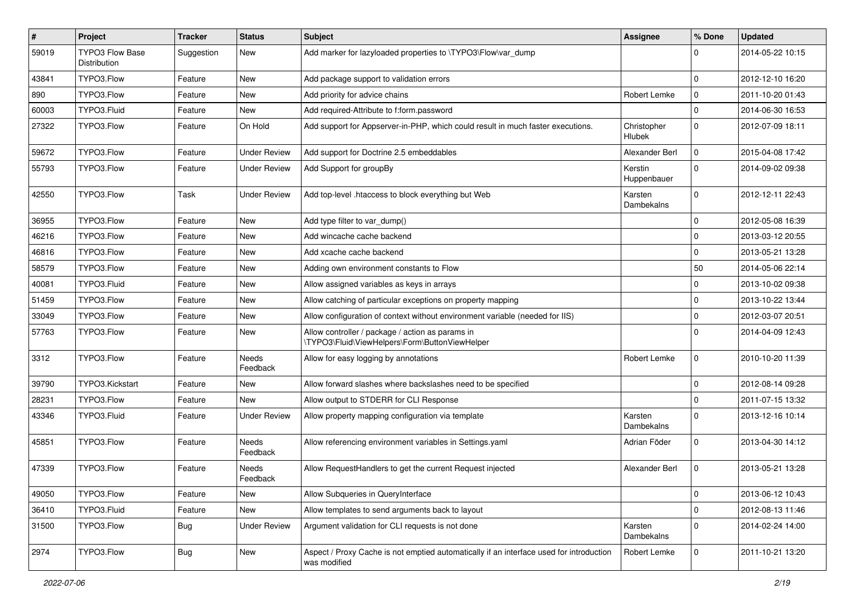| #     | Project                                | <b>Tracker</b> | <b>Status</b>            | <b>Subject</b>                                                                                          | <b>Assignee</b>              | % Done       | <b>Updated</b>   |
|-------|----------------------------------------|----------------|--------------------------|---------------------------------------------------------------------------------------------------------|------------------------------|--------------|------------------|
| 59019 | <b>TYPO3 Flow Base</b><br>Distribution | Suggestion     | New                      | Add marker for lazyloaded properties to \TYPO3\Flow\var dump                                            |                              | 0            | 2014-05-22 10:15 |
| 43841 | TYPO3.Flow                             | Feature        | New                      | Add package support to validation errors                                                                |                              | $\mathbf 0$  | 2012-12-10 16:20 |
| 890   | TYPO3.Flow                             | Feature        | New                      | Add priority for advice chains                                                                          | Robert Lemke                 | $\mathbf 0$  | 2011-10-20 01:43 |
| 60003 | TYPO3.Fluid                            | Feature        | New                      | Add required-Attribute to f:form.password                                                               |                              | $\mathbf{0}$ | 2014-06-30 16:53 |
| 27322 | TYPO3.Flow                             | Feature        | On Hold                  | Add support for Appserver-in-PHP, which could result in much faster executions.                         | Christopher<br><b>Hlubek</b> | $\mathbf 0$  | 2012-07-09 18:11 |
| 59672 | TYPO3.Flow                             | Feature        | <b>Under Review</b>      | Add support for Doctrine 2.5 embeddables                                                                | Alexander Berl               | $\mathbf 0$  | 2015-04-08 17:42 |
| 55793 | TYPO3.Flow                             | Feature        | <b>Under Review</b>      | Add Support for groupBy                                                                                 | Kerstin<br>Huppenbauer       | $\mathbf{0}$ | 2014-09-02 09:38 |
| 42550 | TYPO3.Flow                             | Task           | <b>Under Review</b>      | Add top-level .htaccess to block everything but Web                                                     | Karsten<br>Dambekalns        | $\mathbf{0}$ | 2012-12-11 22:43 |
| 36955 | TYPO3.Flow                             | Feature        | New                      | Add type filter to var_dump()                                                                           |                              | $\mathbf 0$  | 2012-05-08 16:39 |
| 46216 | TYPO3.Flow                             | Feature        | New                      | Add wincache cache backend                                                                              |                              | $\mathbf 0$  | 2013-03-12 20:55 |
| 46816 | TYPO3.Flow                             | Feature        | New                      | Add xcache cache backend                                                                                |                              | $\mathbf 0$  | 2013-05-21 13:28 |
| 58579 | TYPO3.Flow                             | Feature        | New                      | Adding own environment constants to Flow                                                                |                              | 50           | 2014-05-06 22:14 |
| 40081 | TYPO3.Fluid                            | Feature        | New                      | Allow assigned variables as keys in arrays                                                              |                              | $\Omega$     | 2013-10-02 09:38 |
| 51459 | TYPO3.Flow                             | Feature        | New                      | Allow catching of particular exceptions on property mapping                                             |                              | $\mathbf 0$  | 2013-10-22 13:44 |
| 33049 | TYPO3.Flow                             | Feature        | New                      | Allow configuration of context without environment variable (needed for IIS)                            |                              | $\mathbf 0$  | 2012-03-07 20:51 |
| 57763 | TYPO3.Flow                             | Feature        | New                      | Allow controller / package / action as params in<br>\TYPO3\Fluid\ViewHelpers\Form\ButtonViewHelper      |                              | $\Omega$     | 2014-04-09 12:43 |
| 3312  | TYPO3.Flow                             | Feature        | Needs<br>Feedback        | Allow for easy logging by annotations                                                                   | Robert Lemke                 | $\mathbf 0$  | 2010-10-20 11:39 |
| 39790 | TYPO3.Kickstart                        | Feature        | New                      | Allow forward slashes where backslashes need to be specified                                            |                              | $\mathbf 0$  | 2012-08-14 09:28 |
| 28231 | TYPO3.Flow                             | Feature        | New                      | Allow output to STDERR for CLI Response                                                                 |                              | $\Omega$     | 2011-07-15 13:32 |
| 43346 | TYPO3.Fluid                            | Feature        | <b>Under Review</b>      | Allow property mapping configuration via template                                                       | Karsten<br>Dambekalns        | $\mathbf{0}$ | 2013-12-16 10:14 |
| 45851 | TYPO3.Flow                             | Feature        | <b>Needs</b><br>Feedback | Allow referencing environment variables in Settings.yaml                                                | Adrian Föder                 | $\mathbf 0$  | 2013-04-30 14:12 |
| 47339 | TYPO3.Flow                             | Feature        | Needs<br>Feedback        | Allow RequestHandlers to get the current Request injected                                               | Alexander Berl               | $\mathbf 0$  | 2013-05-21 13:28 |
| 49050 | TYPO3.Flow                             | Feature        | New                      | Allow Subqueries in QueryInterface                                                                      |                              | 0            | 2013-06-12 10:43 |
| 36410 | TYPO3.Fluid                            | Feature        | New                      | Allow templates to send arguments back to layout                                                        |                              | 0            | 2012-08-13 11:46 |
| 31500 | TYPO3.Flow                             | <b>Bug</b>     | <b>Under Review</b>      | Argument validation for CLI requests is not done                                                        | Karsten<br>Dambekalns        | $\mathbf 0$  | 2014-02-24 14:00 |
| 2974  | TYPO3.Flow                             | <b>Bug</b>     | New                      | Aspect / Proxy Cache is not emptied automatically if an interface used for introduction<br>was modified | Robert Lemke                 | $\mathbf 0$  | 2011-10-21 13:20 |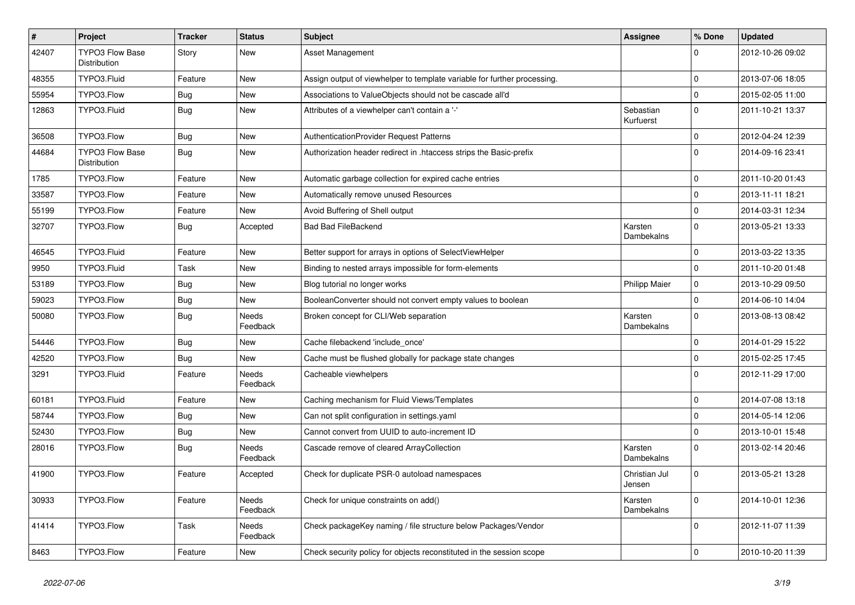| $\sharp$ | Project                                | <b>Tracker</b> | <b>Status</b>            | Subject                                                                  | <b>Assignee</b>         | % Done       | <b>Updated</b>   |
|----------|----------------------------------------|----------------|--------------------------|--------------------------------------------------------------------------|-------------------------|--------------|------------------|
| 42407    | TYPO3 Flow Base<br>Distribution        | Story          | New                      | Asset Management                                                         |                         | $\Omega$     | 2012-10-26 09:02 |
| 48355    | TYPO3.Fluid                            | Feature        | New                      | Assign output of viewhelper to template variable for further processing. |                         | $\mathbf 0$  | 2013-07-06 18:05 |
| 55954    | TYPO3.Flow                             | <b>Bug</b>     | New                      | Associations to ValueObjects should not be cascade all'd                 |                         | $\mathbf 0$  | 2015-02-05 11:00 |
| 12863    | TYPO3.Fluid                            | <b>Bug</b>     | New                      | Attributes of a viewhelper can't contain a '-'                           | Sebastian<br>Kurfuerst  | $\mathbf{0}$ | 2011-10-21 13:37 |
| 36508    | TYPO3.Flow                             | <b>Bug</b>     | New                      | AuthenticationProvider Request Patterns                                  |                         | $\mathbf{0}$ | 2012-04-24 12:39 |
| 44684    | <b>TYPO3 Flow Base</b><br>Distribution | <b>Bug</b>     | New                      | Authorization header redirect in .htaccess strips the Basic-prefix       |                         | $\Omega$     | 2014-09-16 23:41 |
| 1785     | TYPO3.Flow                             | Feature        | New                      | Automatic garbage collection for expired cache entries                   |                         | $\mathbf 0$  | 2011-10-20 01:43 |
| 33587    | TYPO3.Flow                             | Feature        | New                      | Automatically remove unused Resources                                    |                         | $\mathbf 0$  | 2013-11-11 18:21 |
| 55199    | TYPO3.Flow                             | Feature        | New                      | Avoid Buffering of Shell output                                          |                         | $\mathbf{0}$ | 2014-03-31 12:34 |
| 32707    | TYPO3.Flow                             | <b>Bug</b>     | Accepted                 | <b>Bad Bad FileBackend</b>                                               | Karsten<br>Dambekalns   | $\mathbf{0}$ | 2013-05-21 13:33 |
| 46545    | TYPO3.Fluid                            | Feature        | <b>New</b>               | Better support for arrays in options of SelectViewHelper                 |                         | $\Omega$     | 2013-03-22 13:35 |
| 9950     | TYPO3.Fluid                            | Task           | New                      | Binding to nested arrays impossible for form-elements                    |                         | $\mathbf{0}$ | 2011-10-20 01:48 |
| 53189    | TYPO3.Flow                             | <b>Bug</b>     | New                      | Blog tutorial no longer works                                            | <b>Philipp Maier</b>    | $\mathbf 0$  | 2013-10-29 09:50 |
| 59023    | TYPO3.Flow                             | <b>Bug</b>     | New                      | BooleanConverter should not convert empty values to boolean              |                         | $\mathbf 0$  | 2014-06-10 14:04 |
| 50080    | TYPO3.Flow                             | <b>Bug</b>     | Needs<br>Feedback        | Broken concept for CLI/Web separation                                    | Karsten<br>Dambekalns   | $\Omega$     | 2013-08-13 08:42 |
| 54446    | TYPO3.Flow                             | <b>Bug</b>     | New                      | Cache filebackend 'include_once'                                         |                         | $\mathbf 0$  | 2014-01-29 15:22 |
| 42520    | TYPO3.Flow                             | Bug            | New                      | Cache must be flushed globally for package state changes                 |                         | $\mathbf 0$  | 2015-02-25 17:45 |
| 3291     | TYPO3.Fluid                            | Feature        | <b>Needs</b><br>Feedback | Cacheable viewhelpers                                                    |                         | $\Omega$     | 2012-11-29 17:00 |
| 60181    | TYPO3.Fluid                            | Feature        | <b>New</b>               | Caching mechanism for Fluid Views/Templates                              |                         | $\Omega$     | 2014-07-08 13:18 |
| 58744    | TYPO3.Flow                             | <b>Bug</b>     | New                      | Can not split configuration in settings.yaml                             |                         | $\mathbf{0}$ | 2014-05-14 12:06 |
| 52430    | TYPO3.Flow                             | <b>Bug</b>     | New                      | Cannot convert from UUID to auto-increment ID                            |                         | $\mathbf 0$  | 2013-10-01 15:48 |
| 28016    | TYPO3.Flow                             | Bug            | Needs<br>Feedback        | Cascade remove of cleared ArrayCollection                                | Karsten<br>Dambekalns   | $\Omega$     | 2013-02-14 20:46 |
| 41900    | TYPO3.Flow                             | Feature        | Accepted                 | Check for duplicate PSR-0 autoload namespaces                            | Christian Jul<br>Jensen | $\Omega$     | 2013-05-21 13:28 |
| 30933    | TYPO3.Flow                             | Feature        | Needs<br>Feedback        | Check for unique constraints on add()                                    | Karsten<br>Dambekalns   | $\mathbf 0$  | 2014-10-01 12:36 |
| 41414    | TYPO3.Flow                             | Task           | Needs<br>Feedback        | Check packageKey naming / file structure below Packages/Vendor           |                         | $\mathbf 0$  | 2012-11-07 11:39 |
| 8463     | TYPO3.Flow                             | Feature        | New                      | Check security policy for objects reconstituted in the session scope     |                         | $\mathbf 0$  | 2010-10-20 11:39 |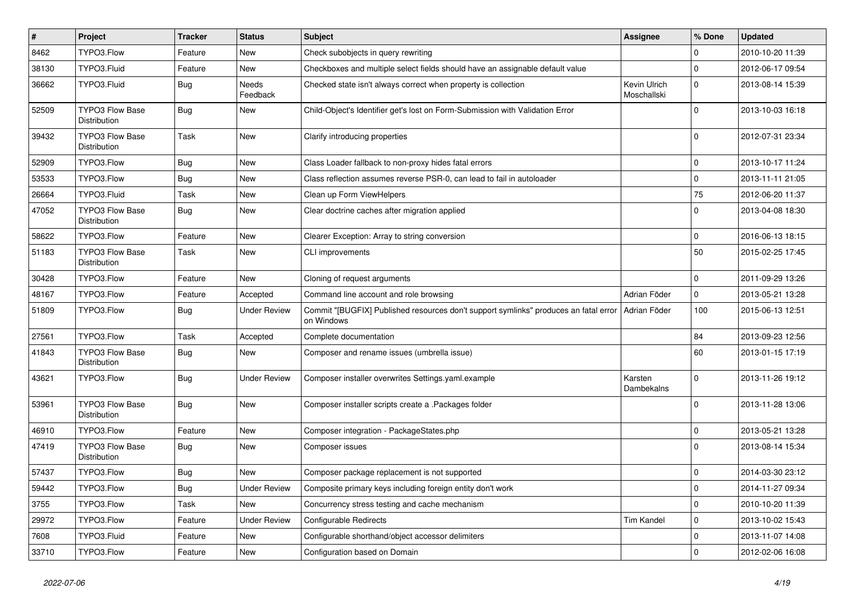| $\pmb{\#}$ | Project                                       | <b>Tracker</b> | <b>Status</b>       | <b>Subject</b>                                                                                                    | <b>Assignee</b>             | % Done              | <b>Updated</b>   |
|------------|-----------------------------------------------|----------------|---------------------|-------------------------------------------------------------------------------------------------------------------|-----------------------------|---------------------|------------------|
| 8462       | TYPO3.Flow                                    | Feature        | New                 | Check subobjects in query rewriting                                                                               |                             | $\Omega$            | 2010-10-20 11:39 |
| 38130      | TYPO3.Fluid                                   | Feature        | New                 | Checkboxes and multiple select fields should have an assignable default value                                     |                             | $\Omega$            | 2012-06-17 09:54 |
| 36662      | TYPO3.Fluid                                   | <b>Bug</b>     | Needs<br>Feedback   | Checked state isn't always correct when property is collection                                                    | Kevin Ulrich<br>Moschallski | $\Omega$            | 2013-08-14 15:39 |
| 52509      | <b>TYPO3 Flow Base</b><br><b>Distribution</b> | Bug            | New                 | Child-Object's Identifier get's lost on Form-Submission with Validation Error                                     |                             | $\Omega$            | 2013-10-03 16:18 |
| 39432      | <b>TYPO3 Flow Base</b><br>Distribution        | Task           | New                 | Clarify introducing properties                                                                                    |                             | $\mathbf 0$         | 2012-07-31 23:34 |
| 52909      | TYPO3.Flow                                    | <b>Bug</b>     | New                 | Class Loader fallback to non-proxy hides fatal errors                                                             |                             | $\pmb{0}$           | 2013-10-17 11:24 |
| 53533      | TYPO3.Flow                                    | <b>Bug</b>     | New                 | Class reflection assumes reverse PSR-0, can lead to fail in autoloader                                            |                             | $\mathsf{O}\xspace$ | 2013-11-11 21:05 |
| 26664      | TYPO3.Fluid                                   | Task           | New                 | Clean up Form ViewHelpers                                                                                         |                             | 75                  | 2012-06-20 11:37 |
| 47052      | <b>TYPO3 Flow Base</b><br>Distribution        | <b>Bug</b>     | New                 | Clear doctrine caches after migration applied                                                                     |                             | $\Omega$            | 2013-04-08 18:30 |
| 58622      | TYPO3.Flow                                    | Feature        | New                 | Clearer Exception: Array to string conversion                                                                     |                             | $\mathbf 0$         | 2016-06-13 18:15 |
| 51183      | <b>TYPO3 Flow Base</b><br>Distribution        | Task           | New                 | <b>CLI improvements</b>                                                                                           |                             | 50                  | 2015-02-25 17:45 |
| 30428      | TYPO3.Flow                                    | Feature        | New                 | Cloning of request arguments                                                                                      |                             | $\mathbf 0$         | 2011-09-29 13:26 |
| 48167      | TYPO3.Flow                                    | Feature        | Accepted            | Command line account and role browsing                                                                            | Adrian Föder                | $\mathbf{0}$        | 2013-05-21 13:28 |
| 51809      | TYPO3.Flow                                    | Bug            | Under Review        | Commit "[BUGFIX] Published resources don't support symlinks" produces an fatal error   Adrian Föder<br>on Windows |                             | 100                 | 2015-06-13 12:51 |
| 27561      | TYPO3.Flow                                    | Task           | Accepted            | Complete documentation                                                                                            |                             | 84                  | 2013-09-23 12:56 |
| 41843      | <b>TYPO3 Flow Base</b><br>Distribution        | <b>Bug</b>     | New                 | Composer and rename issues (umbrella issue)                                                                       |                             | 60                  | 2013-01-15 17:19 |
| 43621      | TYPO3.Flow                                    | <b>Bug</b>     | Under Review        | Composer installer overwrites Settings.yaml.example                                                               | Karsten<br>Dambekalns       | $\Omega$            | 2013-11-26 19:12 |
| 53961      | <b>TYPO3 Flow Base</b><br>Distribution        | <b>Bug</b>     | New                 | Composer installer scripts create a .Packages folder                                                              |                             | $\Omega$            | 2013-11-28 13:06 |
| 46910      | TYPO3.Flow                                    | Feature        | New                 | Composer integration - PackageStates.php                                                                          |                             | $\mathbf 0$         | 2013-05-21 13:28 |
| 47419      | <b>TYPO3 Flow Base</b><br><b>Distribution</b> | <b>Bug</b>     | New                 | Composer issues                                                                                                   |                             | $\Omega$            | 2013-08-14 15:34 |
| 57437      | TYPO3.Flow                                    | Bug            | New                 | Composer package replacement is not supported                                                                     |                             | $\mathbf 0$         | 2014-03-30 23:12 |
| 59442      | TYPO3.Flow                                    | <b>Bug</b>     | <b>Under Review</b> | Composite primary keys including foreign entity don't work                                                        |                             | $\mathbf 0$         | 2014-11-27 09:34 |
| 3755       | TYPO3.Flow                                    | Task           | New                 | Concurrency stress testing and cache mechanism                                                                    |                             | $\mathbf 0$         | 2010-10-20 11:39 |
| 29972      | TYPO3.Flow                                    | Feature        | <b>Under Review</b> | Configurable Redirects                                                                                            | <b>Tim Kandel</b>           | $\mathbf 0$         | 2013-10-02 15:43 |
| 7608       | TYPO3.Fluid                                   | Feature        | New                 | Configurable shorthand/object accessor delimiters                                                                 |                             | $\mathbf 0$         | 2013-11-07 14:08 |
| 33710      | TYPO3.Flow                                    | Feature        | New                 | Configuration based on Domain                                                                                     |                             | $\mathbf 0$         | 2012-02-06 16:08 |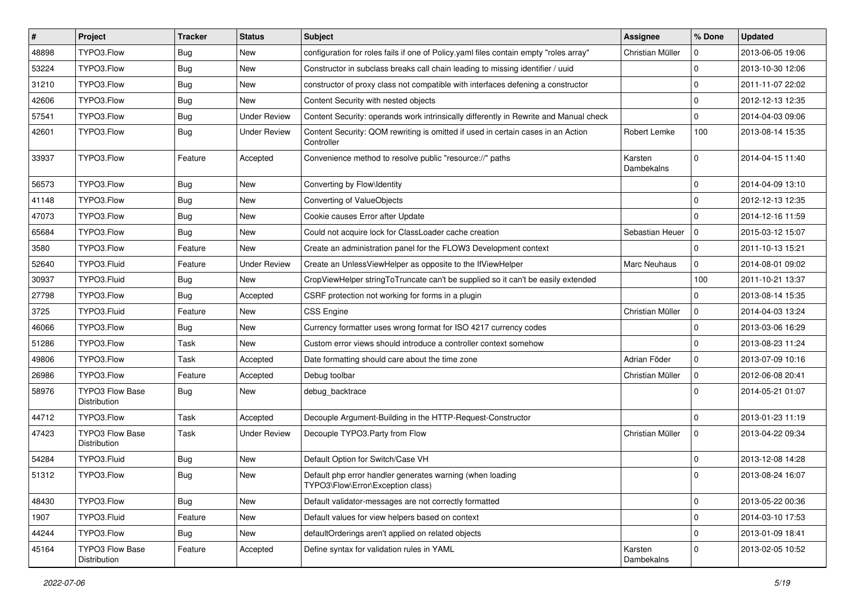| #     | Project                                | <b>Tracker</b> | <b>Status</b>       | <b>Subject</b>                                                                                 | <b>Assignee</b>       | % Done       | <b>Updated</b>   |
|-------|----------------------------------------|----------------|---------------------|------------------------------------------------------------------------------------------------|-----------------------|--------------|------------------|
| 48898 | TYPO3.Flow                             | <b>Bug</b>     | New                 | configuration for roles fails if one of Policy yaml files contain empty "roles array"          | Christian Müller      | $\Omega$     | 2013-06-05 19:06 |
| 53224 | TYPO3.Flow                             | <b>Bug</b>     | <b>New</b>          | Constructor in subclass breaks call chain leading to missing identifier / uuid                 |                       | $\Omega$     | 2013-10-30 12:06 |
| 31210 | TYPO3.Flow                             | <b>Bug</b>     | New                 | constructor of proxy class not compatible with interfaces defening a constructor               |                       | $\mathbf 0$  | 2011-11-07 22:02 |
| 42606 | TYPO3.Flow                             | <b>Bug</b>     | New                 | Content Security with nested objects                                                           |                       | $\Omega$     | 2012-12-13 12:35 |
| 57541 | TYPO3.Flow                             | <b>Bug</b>     | <b>Under Review</b> | Content Security: operands work intrinsically differently in Rewrite and Manual check          |                       | $\mathbf{0}$ | 2014-04-03 09:06 |
| 42601 | TYPO3.Flow                             | <b>Bug</b>     | <b>Under Review</b> | Content Security: QOM rewriting is omitted if used in certain cases in an Action<br>Controller | Robert Lemke          | 100          | 2013-08-14 15:35 |
| 33937 | TYPO3.Flow                             | Feature        | Accepted            | Convenience method to resolve public "resource://" paths                                       | Karsten<br>Dambekalns | $\Omega$     | 2014-04-15 11:40 |
| 56573 | TYPO3.Flow                             | <b>Bug</b>     | <b>New</b>          | Converting by Flow\Identity                                                                    |                       | $\Omega$     | 2014-04-09 13:10 |
| 41148 | TYPO3.Flow                             | <b>Bug</b>     | New                 | Converting of ValueObjects                                                                     |                       | $\Omega$     | 2012-12-13 12:35 |
| 47073 | TYPO3.Flow                             | <b>Bug</b>     | New                 | Cookie causes Error after Update                                                               |                       | $\Omega$     | 2014-12-16 11:59 |
| 65684 | TYPO3.Flow                             | Bug            | New                 | Could not acquire lock for ClassLoader cache creation                                          | Sebastian Heuer       | l 0          | 2015-03-12 15:07 |
| 3580  | TYPO3.Flow                             | Feature        | New                 | Create an administration panel for the FLOW3 Development context                               |                       | 0            | 2011-10-13 15:21 |
| 52640 | TYPO3.Fluid                            | Feature        | <b>Under Review</b> | Create an UnlessViewHelper as opposite to the IfViewHelper                                     | <b>Marc Neuhaus</b>   | $\Omega$     | 2014-08-01 09:02 |
| 30937 | TYPO3.Fluid                            | Bug            | New                 | CropViewHelper stringToTruncate can't be supplied so it can't be easily extended               |                       | 100          | 2011-10-21 13:37 |
| 27798 | TYPO3.Flow                             | <b>Bug</b>     | Accepted            | CSRF protection not working for forms in a plugin                                              |                       | $\Omega$     | 2013-08-14 15:35 |
| 3725  | TYPO3.Fluid                            | Feature        | New                 | <b>CSS Engine</b>                                                                              | Christian Müller      | $\mathbf 0$  | 2014-04-03 13:24 |
| 46066 | TYPO3.Flow                             | <b>Bug</b>     | New                 | Currency formatter uses wrong format for ISO 4217 currency codes                               |                       | $\mathbf 0$  | 2013-03-06 16:29 |
| 51286 | TYPO3.Flow                             | Task           | New                 | Custom error views should introduce a controller context somehow                               |                       | $\Omega$     | 2013-08-23 11:24 |
| 49806 | TYPO3.Flow                             | Task           | Accepted            | Date formatting should care about the time zone                                                | Adrian Föder          | $\mathbf 0$  | 2013-07-09 10:16 |
| 26986 | TYPO3.Flow                             | Feature        | Accepted            | Debug toolbar                                                                                  | Christian Müller      | $\mathbf{0}$ | 2012-06-08 20:41 |
| 58976 | TYPO3 Flow Base<br>Distribution        | Bug            | New                 | debug_backtrace                                                                                |                       | $\Omega$     | 2014-05-21 01:07 |
| 44712 | TYPO3.Flow                             | Task           | Accepted            | Decouple Argument-Building in the HTTP-Request-Constructor                                     |                       | $\Omega$     | 2013-01-23 11:19 |
| 47423 | <b>TYPO3 Flow Base</b><br>Distribution | Task           | <b>Under Review</b> | Decouple TYPO3.Party from Flow                                                                 | Christian Müller      | $\mathbf 0$  | 2013-04-22 09:34 |
| 54284 | TYPO3.Fluid                            | <b>Bug</b>     | New                 | Default Option for Switch/Case VH                                                              |                       | $\Omega$     | 2013-12-08 14:28 |
| 51312 | TYPO3.Flow                             | <b>Bug</b>     | New                 | Default php error handler generates warning (when loading<br>TYPO3\Flow\Error\Exception class) |                       | $\Omega$     | 2013-08-24 16:07 |
| 48430 | TYPO3.Flow                             | <b>Bug</b>     | New                 | Default validator-messages are not correctly formatted                                         |                       | $\mathbf 0$  | 2013-05-22 00:36 |
| 1907  | TYPO3.Fluid                            | Feature        | New                 | Default values for view helpers based on context                                               |                       | $\mathbf 0$  | 2014-03-10 17:53 |
| 44244 | TYPO3.Flow                             | <b>Bug</b>     | New                 | defaultOrderings aren't applied on related objects                                             |                       | $\mathbf 0$  | 2013-01-09 18:41 |
| 45164 | TYPO3 Flow Base<br>Distribution        | Feature        | Accepted            | Define syntax for validation rules in YAML                                                     | Karsten<br>Dambekalns | $\mathbf 0$  | 2013-02-05 10:52 |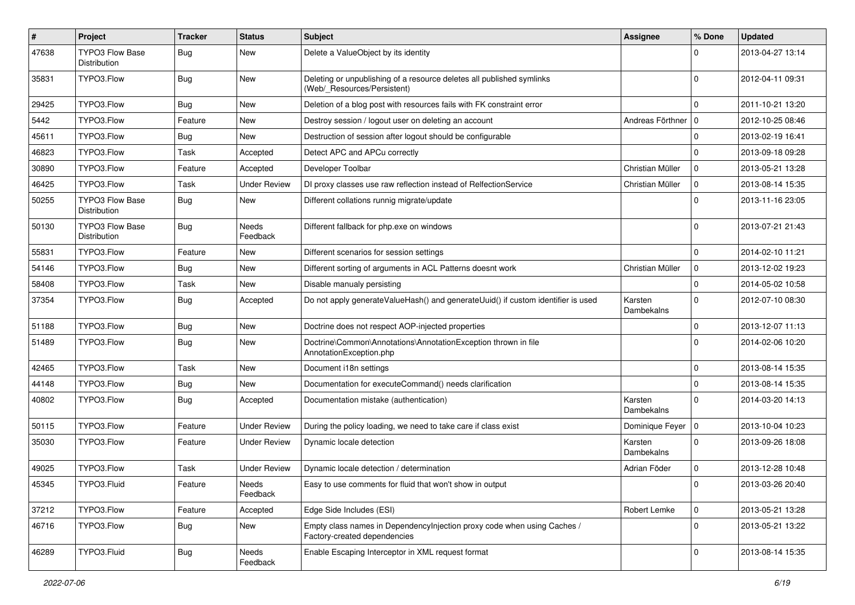| $\#$  | Project                                | <b>Tracker</b> | <b>Status</b>            | <b>Subject</b>                                                                                          | <b>Assignee</b>       | % Done         | <b>Updated</b>   |
|-------|----------------------------------------|----------------|--------------------------|---------------------------------------------------------------------------------------------------------|-----------------------|----------------|------------------|
| 47638 | <b>TYPO3 Flow Base</b><br>Distribution | <b>Bug</b>     | New                      | Delete a ValueObject by its identity                                                                    |                       | 0              | 2013-04-27 13:14 |
| 35831 | TYPO3.Flow                             | <b>Bug</b>     | New                      | Deleting or unpublishing of a resource deletes all published symlinks<br>(Web/_Resources/Persistent)    |                       | $\Omega$       | 2012-04-11 09:31 |
| 29425 | TYPO3.Flow                             | Bug            | New                      | Deletion of a blog post with resources fails with FK constraint error                                   |                       | $\mathbf 0$    | 2011-10-21 13:20 |
| 5442  | TYPO3.Flow                             | Feature        | New                      | Destroy session / logout user on deleting an account                                                    | Andreas Förthner   0  |                | 2012-10-25 08:46 |
| 45611 | TYPO3.Flow                             | <b>Bug</b>     | New                      | Destruction of session after logout should be configurable                                              |                       | $\mathbf 0$    | 2013-02-19 16:41 |
| 46823 | TYPO3.Flow                             | Task           | Accepted                 | Detect APC and APCu correctly                                                                           |                       | $\mathbf 0$    | 2013-09-18 09:28 |
| 30890 | TYPO3.Flow                             | Feature        | Accepted                 | Developer Toolbar                                                                                       | Christian Müller      | $\mathbf 0$    | 2013-05-21 13:28 |
| 46425 | TYPO3.Flow                             | Task           | <b>Under Review</b>      | DI proxy classes use raw reflection instead of RelfectionService                                        | Christian Müller      | $\mathbf 0$    | 2013-08-14 15:35 |
| 50255 | <b>TYPO3 Flow Base</b><br>Distribution | <b>Bug</b>     | New                      | Different collations runnig migrate/update                                                              |                       | $\Omega$       | 2013-11-16 23:05 |
| 50130 | <b>TYPO3 Flow Base</b><br>Distribution | <b>Bug</b>     | <b>Needs</b><br>Feedback | Different fallback for php.exe on windows                                                               |                       | $\Omega$       | 2013-07-21 21:43 |
| 55831 | TYPO3.Flow                             | Feature        | New                      | Different scenarios for session settings                                                                |                       | $\mathbf 0$    | 2014-02-10 11:21 |
| 54146 | TYPO3.Flow                             | <b>Bug</b>     | New                      | Different sorting of arguments in ACL Patterns doesnt work                                              | Christian Müller      | 0              | 2013-12-02 19:23 |
| 58408 | TYPO3.Flow                             | Task           | New                      | Disable manualy persisting                                                                              |                       | $\mathbf 0$    | 2014-05-02 10:58 |
| 37354 | TYPO3.Flow                             | <b>Bug</b>     | Accepted                 | Do not apply generateValueHash() and generateUuid() if custom identifier is used                        | Karsten<br>Dambekalns | $\mathbf 0$    | 2012-07-10 08:30 |
| 51188 | TYPO3.Flow                             | Bug            | New                      | Doctrine does not respect AOP-injected properties                                                       |                       | $\mathbf 0$    | 2013-12-07 11:13 |
| 51489 | TYPO3.Flow                             | <b>Bug</b>     | New                      | Doctrine\Common\Annotations\AnnotationException thrown in file<br>AnnotationException.php               |                       | $\Omega$       | 2014-02-06 10:20 |
| 42465 | TYPO3.Flow                             | Task           | New                      | Document i18n settings                                                                                  |                       | $\mathbf 0$    | 2013-08-14 15:35 |
| 44148 | TYPO3.Flow                             | <b>Bug</b>     | New                      | Documentation for executeCommand() needs clarification                                                  |                       | $\mathbf 0$    | 2013-08-14 15:35 |
| 40802 | TYPO3.Flow                             | <b>Bug</b>     | Accepted                 | Documentation mistake (authentication)                                                                  | Karsten<br>Dambekalns | $\mathbf 0$    | 2014-03-20 14:13 |
| 50115 | TYPO3.Flow                             | Feature        | Under Review             | During the policy loading, we need to take care if class exist                                          | Dominique Feyer   0   |                | 2013-10-04 10:23 |
| 35030 | TYPO3.Flow                             | Feature        | Under Review             | Dynamic locale detection                                                                                | Karsten<br>Dambekalns | $\mathbf 0$    | 2013-09-26 18:08 |
| 49025 | TYPO3.Flow                             | Task           | Under Review             | Dynamic locale detection / determination                                                                | Adrian Föder          | $\mathbf 0$    | 2013-12-28 10:48 |
| 45345 | TYPO3.Fluid                            | Feature        | Needs<br>Feedback        | Easy to use comments for fluid that won't show in output                                                |                       |                | 2013-03-26 20:40 |
| 37212 | TYPO3.Flow                             | Feature        | Accepted                 | Edge Side Includes (ESI)                                                                                | Robert Lemke          | $\mathbf 0$    | 2013-05-21 13:28 |
| 46716 | TYPO3.Flow                             | Bug            | New                      | Empty class names in Dependencylnjection proxy code when using Caches /<br>Factory-created dependencies |                       | $\overline{0}$ | 2013-05-21 13:22 |
| 46289 | TYPO3.Fluid                            | <b>Bug</b>     | Needs<br>Feedback        | Enable Escaping Interceptor in XML request format                                                       |                       | $\mathbf 0$    | 2013-08-14 15:35 |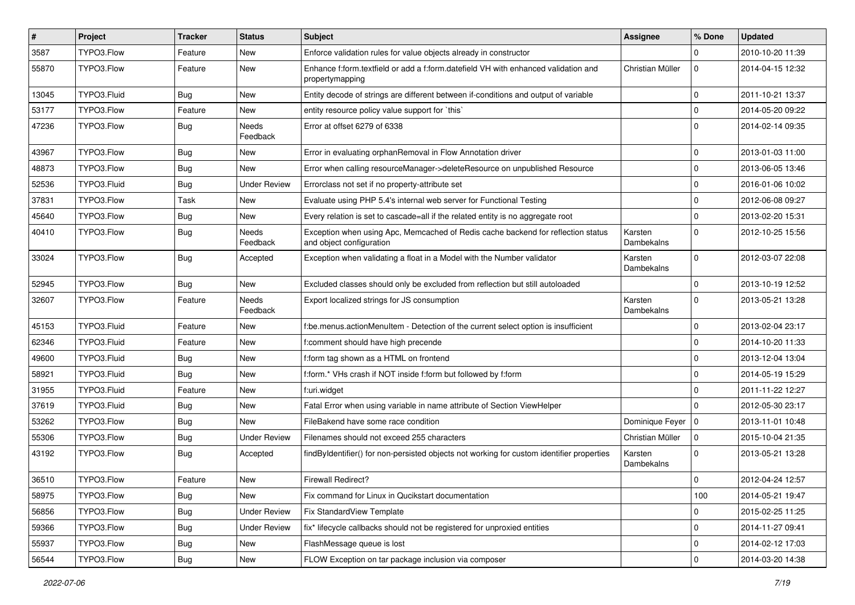| $\vert$ # | Project     | <b>Tracker</b> | <b>Status</b>       | <b>Subject</b>                                                                                               | <b>Assignee</b>       | % Done              | <b>Updated</b>   |
|-----------|-------------|----------------|---------------------|--------------------------------------------------------------------------------------------------------------|-----------------------|---------------------|------------------|
| 3587      | TYPO3.Flow  | Feature        | New                 | Enforce validation rules for value objects already in constructor                                            |                       | $\Omega$            | 2010-10-20 11:39 |
| 55870     | TYPO3.Flow  | Feature        | New                 | Enhance f:form.textfield or add a f:form.datefield VH with enhanced validation and<br>propertymapping        | Christian Müller      | $\mathbf 0$         | 2014-04-15 12:32 |
| 13045     | TYPO3.Fluid | <b>Bug</b>     | New                 | Entity decode of strings are different between if-conditions and output of variable                          |                       | $\mathbf 0$         | 2011-10-21 13:37 |
| 53177     | TYPO3.Flow  | Feature        | New                 | entity resource policy value support for `this`                                                              |                       | $\mathbf 0$         | 2014-05-20 09:22 |
| 47236     | TYPO3.Flow  | Bug            | Needs<br>Feedback   | Error at offset 6279 of 6338                                                                                 |                       | $\mathbf 0$         | 2014-02-14 09:35 |
| 43967     | TYPO3.Flow  | Bug            | New                 | Error in evaluating orphanRemoval in Flow Annotation driver                                                  |                       | $\mathbf 0$         | 2013-01-03 11:00 |
| 48873     | TYPO3.Flow  | Bug            | New                 | Error when calling resourceManager->deleteResource on unpublished Resource                                   |                       | $\mathbf 0$         | 2013-06-05 13:46 |
| 52536     | TYPO3.Fluid | <b>Bug</b>     | <b>Under Review</b> | Errorclass not set if no property-attribute set                                                              |                       | $\mathbf 0$         | 2016-01-06 10:02 |
| 37831     | TYPO3.Flow  | Task           | New                 | Evaluate using PHP 5.4's internal web server for Functional Testing                                          |                       | $\mathbf 0$         | 2012-06-08 09:27 |
| 45640     | TYPO3.Flow  | <b>Bug</b>     | New                 | Every relation is set to cascade=all if the related entity is no aggregate root                              |                       | $\mathbf 0$         | 2013-02-20 15:31 |
| 40410     | TYPO3.Flow  | <b>Bug</b>     | Needs<br>Feedback   | Exception when using Apc, Memcached of Redis cache backend for reflection status<br>and object configuration | Karsten<br>Dambekalns | $\Omega$            | 2012-10-25 15:56 |
| 33024     | TYPO3.Flow  | <b>Bug</b>     | Accepted            | Exception when validating a float in a Model with the Number validator                                       | Karsten<br>Dambekalns | $\Omega$            | 2012-03-07 22:08 |
| 52945     | TYPO3.Flow  | <b>Bug</b>     | New                 | Excluded classes should only be excluded from reflection but still autoloaded                                |                       | $\Omega$            | 2013-10-19 12:52 |
| 32607     | TYPO3.Flow  | Feature        | Needs<br>Feedback   | Export localized strings for JS consumption                                                                  | Karsten<br>Dambekalns | $\mathbf 0$         | 2013-05-21 13:28 |
| 45153     | TYPO3.Fluid | Feature        | New                 | f:be.menus.actionMenuItem - Detection of the current select option is insufficient                           |                       | $\Omega$            | 2013-02-04 23:17 |
| 62346     | TYPO3.Fluid | Feature        | New                 | f:comment should have high precende                                                                          |                       | $\Omega$            | 2014-10-20 11:33 |
| 49600     | TYPO3.Fluid | <b>Bug</b>     | New                 | f:form tag shown as a HTML on frontend                                                                       |                       | $\mathbf 0$         | 2013-12-04 13:04 |
| 58921     | TYPO3.Fluid | <b>Bug</b>     | New                 | f:form.* VHs crash if NOT inside f:form but followed by f:form                                               |                       | $\mathbf 0$         | 2014-05-19 15:29 |
| 31955     | TYPO3.Fluid | Feature        | New                 | f:uri.widget                                                                                                 |                       | $\mathbf 0$         | 2011-11-22 12:27 |
| 37619     | TYPO3.Fluid | Bug            | New                 | Fatal Error when using variable in name attribute of Section ViewHelper                                      |                       | $\Omega$            | 2012-05-30 23:17 |
| 53262     | TYPO3.Flow  | Bug            | New                 | FileBakend have some race condition                                                                          | Dominique Feyer   0   |                     | 2013-11-01 10:48 |
| 55306     | TYPO3.Flow  | Bug            | <b>Under Review</b> | Filenames should not exceed 255 characters                                                                   | Christian Müller      | $\mathbf 0$         | 2015-10-04 21:35 |
| 43192     | TYPO3.Flow  | Bug            | Accepted            | findByIdentifier() for non-persisted objects not working for custom identifier properties                    | Karsten<br>Dambekalns | $\Omega$            | 2013-05-21 13:28 |
| 36510     | TYPO3.Flow  | Feature        | New                 | <b>Firewall Redirect?</b>                                                                                    |                       | $\mathbf 0$         | 2012-04-24 12:57 |
| 58975     | TYPO3.Flow  | Bug            | New                 | Fix command for Linux in Qucikstart documentation                                                            |                       | 100                 | 2014-05-21 19:47 |
| 56856     | TYPO3.Flow  | <b>Bug</b>     | <b>Under Review</b> | Fix StandardView Template                                                                                    |                       | $\mathbf 0$         | 2015-02-25 11:25 |
| 59366     | TYPO3.Flow  | <b>Bug</b>     | <b>Under Review</b> | fix* lifecycle callbacks should not be registered for unproxied entities                                     |                       | $\mathsf{O}\xspace$ | 2014-11-27 09:41 |
| 55937     | TYPO3.Flow  | <b>Bug</b>     | New                 | FlashMessage queue is lost                                                                                   |                       | 0                   | 2014-02-12 17:03 |
| 56544     | TYPO3.Flow  | <b>Bug</b>     | New                 | FLOW Exception on tar package inclusion via composer                                                         |                       | $\mathbf 0$         | 2014-03-20 14:38 |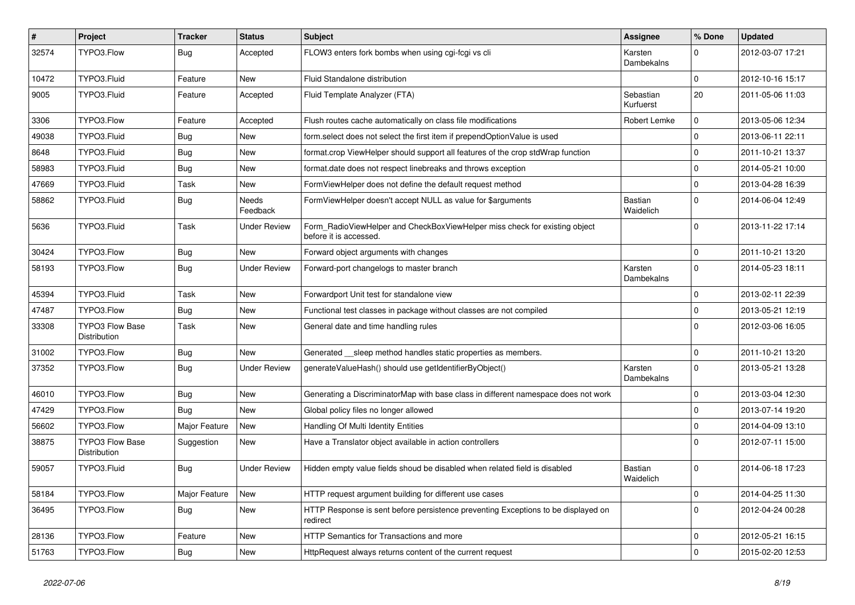| $\sharp$ | Project                                | <b>Tracker</b> | <b>Status</b>       | <b>Subject</b>                                                                                       | <b>Assignee</b>        | % Done       | <b>Updated</b>   |
|----------|----------------------------------------|----------------|---------------------|------------------------------------------------------------------------------------------------------|------------------------|--------------|------------------|
| 32574    | TYPO3.Flow                             | <b>Bug</b>     | Accepted            | FLOW3 enters fork bombs when using cgi-fcgi vs cli                                                   | Karsten<br>Dambekalns  | 0            | 2012-03-07 17:21 |
| 10472    | TYPO3.Fluid                            | Feature        | New                 | Fluid Standalone distribution                                                                        |                        | $\mathbf 0$  | 2012-10-16 15:17 |
| 9005     | TYPO3.Fluid                            | Feature        | Accepted            | Fluid Template Analyzer (FTA)                                                                        | Sebastian<br>Kurfuerst | 20           | 2011-05-06 11:03 |
| 3306     | TYPO3.Flow                             | Feature        | Accepted            | Flush routes cache automatically on class file modifications                                         | Robert Lemke           | $\mathbf 0$  | 2013-05-06 12:34 |
| 49038    | TYPO3.Fluid                            | <b>Bug</b>     | New                 | form.select does not select the first item if prependOptionValue is used                             |                        | $\mathbf 0$  | 2013-06-11 22:11 |
| 8648     | TYPO3.Fluid                            | <b>Bug</b>     | New                 | format.crop ViewHelper should support all features of the crop stdWrap function                      |                        | $\mathbf 0$  | 2011-10-21 13:37 |
| 58983    | TYPO3.Fluid                            | <b>Bug</b>     | New                 | format.date does not respect linebreaks and throws exception                                         |                        | $\Omega$     | 2014-05-21 10:00 |
| 47669    | TYPO3.Fluid                            | Task           | New                 | FormViewHelper does not define the default request method                                            |                        | $\mathbf 0$  | 2013-04-28 16:39 |
| 58862    | TYPO3.Fluid                            | <b>Bug</b>     | Needs<br>Feedback   | FormViewHelper doesn't accept NULL as value for \$arguments                                          | Bastian<br>Waidelich   | $\mathbf 0$  | 2014-06-04 12:49 |
| 5636     | TYPO3.Fluid                            | Task           | <b>Under Review</b> | Form_RadioViewHelper and CheckBoxViewHelper miss check for existing object<br>before it is accessed. |                        | $\mathbf{0}$ | 2013-11-22 17:14 |
| 30424    | TYPO3.Flow                             | <b>Bug</b>     | New                 | Forward object arguments with changes                                                                |                        | $\mathbf 0$  | 2011-10-21 13:20 |
| 58193    | TYPO3.Flow                             | <b>Bug</b>     | <b>Under Review</b> | Forward-port changelogs to master branch                                                             | Karsten<br>Dambekalns  | $\mathbf 0$  | 2014-05-23 18:11 |
| 45394    | TYPO3.Fluid                            | Task           | New                 | Forwardport Unit test for standalone view                                                            |                        | $\mathbf 0$  | 2013-02-11 22:39 |
| 47487    | TYPO3.Flow                             | <b>Bug</b>     | New                 | Functional test classes in package without classes are not compiled                                  |                        | 0            | 2013-05-21 12:19 |
| 33308    | <b>TYPO3 Flow Base</b><br>Distribution | Task           | New                 | General date and time handling rules                                                                 |                        | $\Omega$     | 2012-03-06 16:05 |
| 31002    | TYPO3.Flow                             | <b>Bug</b>     | New                 | Generated __sleep method handles static properties as members.                                       |                        | $\mathbf 0$  | 2011-10-21 13:20 |
| 37352    | TYPO3.Flow                             | <b>Bug</b>     | <b>Under Review</b> | generateValueHash() should use getIdentifierByObject()                                               | Karsten<br>Dambekalns  | $\mathbf 0$  | 2013-05-21 13:28 |
| 46010    | TYPO3.Flow                             | <b>Bug</b>     | New                 | Generating a DiscriminatorMap with base class in different namespace does not work                   |                        | $\Omega$     | 2013-03-04 12:30 |
| 47429    | TYPO3.Flow                             | <b>Bug</b>     | New                 | Global policy files no longer allowed                                                                |                        | $\mathbf 0$  | 2013-07-14 19:20 |
| 56602    | TYPO3.Flow                             | Major Feature  | New                 | Handling Of Multi Identity Entities                                                                  |                        | $\mathbf 0$  | 2014-04-09 13:10 |
| 38875    | <b>TYPO3 Flow Base</b><br>Distribution | Suggestion     | New                 | Have a Translator object available in action controllers                                             |                        | $\Omega$     | 2012-07-11 15:00 |
| 59057    | TYPO3.Fluid                            | <b>Bug</b>     | Under Review        | Hidden empty value fields shoud be disabled when related field is disabled                           | Bastian<br>Waidelich   | $\Omega$     | 2014-06-18 17:23 |
| 58184    | TYPO3.Flow                             | Major Feature  | New                 | HTTP request argument building for different use cases                                               |                        | 0            | 2014-04-25 11:30 |
| 36495    | TYPO3.Flow                             | <b>Bug</b>     | New                 | HTTP Response is sent before persistence preventing Exceptions to be displayed on<br>redirect        |                        | 0            | 2012-04-24 00:28 |
| 28136    | TYPO3.Flow                             | Feature        | New                 | HTTP Semantics for Transactions and more                                                             |                        | 0            | 2012-05-21 16:15 |
| 51763    | TYPO3.Flow                             | Bug            | New                 | HttpRequest always returns content of the current request                                            |                        | $\mathbf 0$  | 2015-02-20 12:53 |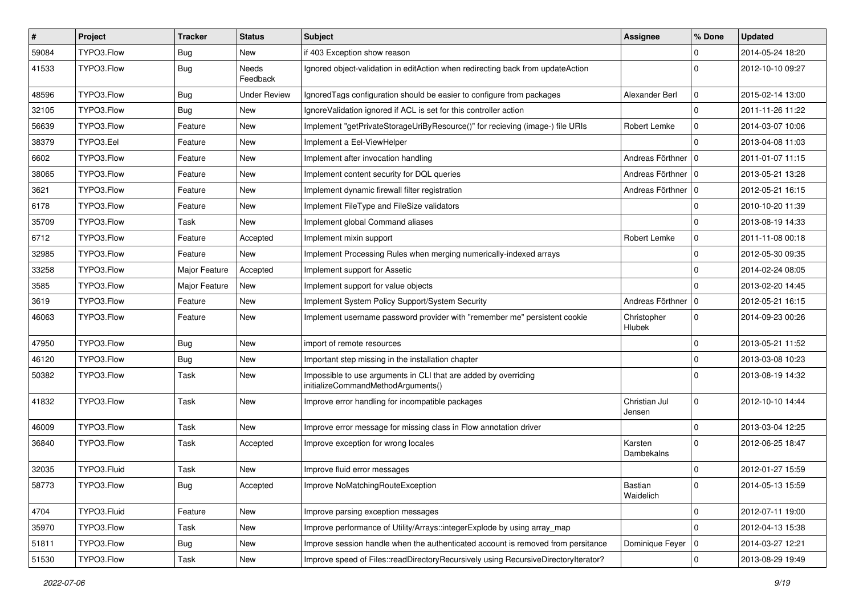| #     | Project     | <b>Tracker</b> | <b>Status</b>            | <b>Subject</b>                                                                                        | <b>Assignee</b>              | % Done         | <b>Updated</b>   |
|-------|-------------|----------------|--------------------------|-------------------------------------------------------------------------------------------------------|------------------------------|----------------|------------------|
| 59084 | TYPO3.Flow  | <b>Bug</b>     | New                      | if 403 Exception show reason                                                                          |                              | $\Omega$       | 2014-05-24 18:20 |
| 41533 | TYPO3.Flow  | <b>Bug</b>     | <b>Needs</b><br>Feedback | Ignored object-validation in editAction when redirecting back from updateAction                       |                              | $\Omega$       | 2012-10-10 09:27 |
| 48596 | TYPO3.Flow  | <b>Bug</b>     | <b>Under Review</b>      | Ignored Tags configuration should be easier to configure from packages                                | Alexander Berl               | $\mathbf 0$    | 2015-02-14 13:00 |
| 32105 | TYPO3.Flow  | <b>Bug</b>     | New                      | Ignore Validation ignored if ACL is set for this controller action                                    |                              | $\Omega$       | 2011-11-26 11:22 |
| 56639 | TYPO3.Flow  | Feature        | New                      | Implement "getPrivateStorageUriByResource()" for recieving (image-) file URIs                         | Robert Lemke                 | $\mathbf 0$    | 2014-03-07 10:06 |
| 38379 | TYPO3.Eel   | Feature        | New                      | Implement a Eel-ViewHelper                                                                            |                              | $\Omega$       | 2013-04-08 11:03 |
| 6602  | TYPO3.Flow  | Feature        | New                      | Implement after invocation handling                                                                   | Andreas Förthner   0         |                | 2011-01-07 11:15 |
| 38065 | TYPO3.Flow  | Feature        | New                      | Implement content security for DQL queries                                                            | Andreas Förthner   0         |                | 2013-05-21 13:28 |
| 3621  | TYPO3.Flow  | Feature        | New                      | Implement dynamic firewall filter registration                                                        | Andreas Förthner   0         |                | 2012-05-21 16:15 |
| 6178  | TYPO3.Flow  | Feature        | New                      | Implement FileType and FileSize validators                                                            |                              | $\Omega$       | 2010-10-20 11:39 |
| 35709 | TYPO3.Flow  | Task           | New                      | Implement global Command aliases                                                                      |                              | $\Omega$       | 2013-08-19 14:33 |
| 6712  | TYPO3.Flow  | Feature        | Accepted                 | Implement mixin support                                                                               | Robert Lemke                 | $\mathbf 0$    | 2011-11-08 00:18 |
| 32985 | TYPO3.Flow  | Feature        | New                      | Implement Processing Rules when merging numerically-indexed arrays                                    |                              | $\mathbf 0$    | 2012-05-30 09:35 |
| 33258 | TYPO3.Flow  | Major Feature  | Accepted                 | Implement support for Assetic                                                                         |                              | $\Omega$       | 2014-02-24 08:05 |
| 3585  | TYPO3.Flow  | Major Feature  | New                      | Implement support for value objects                                                                   |                              | $\Omega$       | 2013-02-20 14:45 |
| 3619  | TYPO3.Flow  | Feature        | New                      | Implement System Policy Support/System Security                                                       | Andreas Förthner   0         |                | 2012-05-21 16:15 |
| 46063 | TYPO3.Flow  | Feature        | New                      | Implement username password provider with "remember me" persistent cookie                             | Christopher<br><b>Hlubek</b> | $\mathbf{0}$   | 2014-09-23 00:26 |
| 47950 | TYPO3.Flow  | <b>Bug</b>     | New                      | import of remote resources                                                                            |                              | $\Omega$       | 2013-05-21 11:52 |
| 46120 | TYPO3.Flow  | <b>Bug</b>     | New                      | Important step missing in the installation chapter                                                    |                              | $\mathbf 0$    | 2013-03-08 10:23 |
| 50382 | TYPO3.Flow  | Task           | New                      | Impossible to use arguments in CLI that are added by overriding<br>initializeCommandMethodArguments() |                              | $\Omega$       | 2013-08-19 14:32 |
| 41832 | TYPO3.Flow  | Task           | New                      | Improve error handling for incompatible packages                                                      | Christian Jul<br>Jensen      | $\mathbf 0$    | 2012-10-10 14:44 |
| 46009 | TYPO3.Flow  | Task           | New                      | Improve error message for missing class in Flow annotation driver                                     |                              | $\Omega$       | 2013-03-04 12:25 |
| 36840 | TYPO3.Flow  | Task           | Accepted                 | Improve exception for wrong locales                                                                   | Karsten<br>Dambekalns        | $\Omega$       | 2012-06-25 18:47 |
| 32035 | TYPO3.Fluid | Task           | New                      | Improve fluid error messages                                                                          |                              | $\mathbf 0$    | 2012-01-27 15:59 |
| 58773 | TYPO3.Flow  | Bug            | Accepted                 | Improve NoMatchingRouteException                                                                      | Bastian<br>Waidelich         | 0              | 2014-05-13 15:59 |
| 4704  | TYPO3.Fluid | Feature        | New                      | Improve parsing exception messages                                                                    |                              | $\mathbf 0$    | 2012-07-11 19:00 |
| 35970 | TYPO3.Flow  | Task           | New                      | Improve performance of Utility/Arrays::integerExplode by using array_map                              |                              | $\Omega$       | 2012-04-13 15:38 |
| 51811 | TYPO3.Flow  | <b>Bug</b>     | New                      | Improve session handle when the authenticated account is removed from persitance                      | Dominique Feyer   0          |                | 2014-03-27 12:21 |
| 51530 | TYPO3.Flow  | Task           | New                      | Improve speed of Files::readDirectoryRecursively using RecursiveDirectoryIterator?                    |                              | $\overline{0}$ | 2013-08-29 19:49 |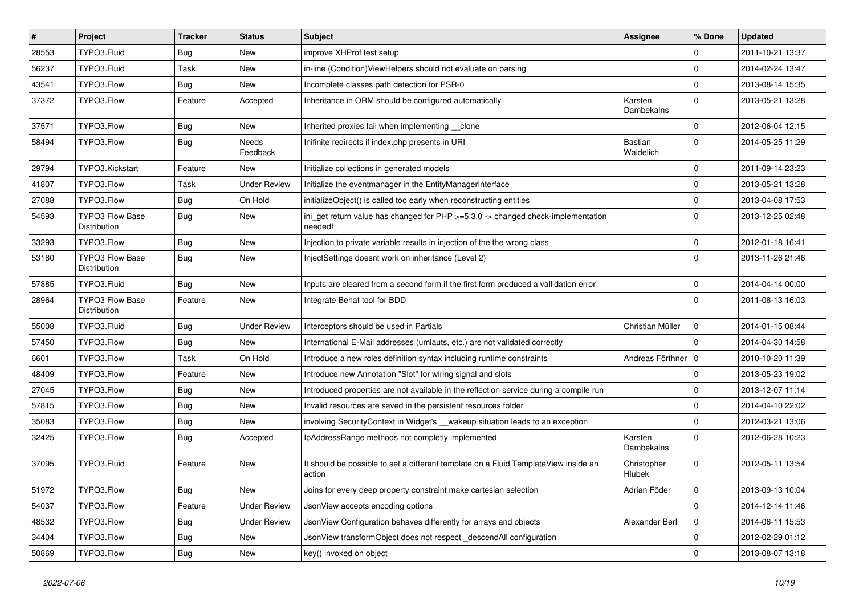| $\vert$ # | Project                                       | <b>Tracker</b> | <b>Status</b>       | Subject                                                                                       | <b>Assignee</b>              | % Done      | <b>Updated</b>   |
|-----------|-----------------------------------------------|----------------|---------------------|-----------------------------------------------------------------------------------------------|------------------------------|-------------|------------------|
| 28553     | TYPO3.Fluid                                   | <b>Bug</b>     | New                 | improve XHProf test setup                                                                     |                              | 0           | 2011-10-21 13:37 |
| 56237     | TYPO3.Fluid                                   | Task           | New                 | in-line (Condition) ViewHelpers should not evaluate on parsing                                |                              | $\mathbf 0$ | 2014-02-24 13:47 |
| 43541     | TYPO3.Flow                                    | Bug            | New                 | Incomplete classes path detection for PSR-0                                                   |                              | $\mathbf 0$ | 2013-08-14 15:35 |
| 37372     | TYPO3.Flow                                    | Feature        | Accepted            | Inheritance in ORM should be configured automatically                                         | Karsten<br>Dambekalns        | $\Omega$    | 2013-05-21 13:28 |
| 37571     | TYPO3.Flow                                    | Bug            | New                 | Inherited proxies fail when implementing clone                                                |                              | $\mathbf 0$ | 2012-06-04 12:15 |
| 58494     | TYPO3.Flow                                    | <b>Bug</b>     | Needs<br>Feedback   | Inifinite redirects if index.php presents in URI                                              | <b>Bastian</b><br>Waidelich  | $\Omega$    | 2014-05-25 11:29 |
| 29794     | TYPO3.Kickstart                               | Feature        | New                 | Initialize collections in generated models                                                    |                              | $\mathbf 0$ | 2011-09-14 23:23 |
| 41807     | TYPO3.Flow                                    | Task           | <b>Under Review</b> | Initialize the eventmanager in the EntityManagerInterface                                     |                              | $\mathbf 0$ | 2013-05-21 13:28 |
| 27088     | TYPO3.Flow                                    | Bug            | On Hold             | initializeObject() is called too early when reconstructing entities                           |                              | $\mathbf 0$ | 2013-04-08 17:53 |
| 54593     | <b>TYPO3 Flow Base</b><br><b>Distribution</b> | <b>Bug</b>     | New                 | ini_get return value has changed for PHP >=5.3.0 -> changed check-implementation<br>needed!   |                              | $\Omega$    | 2013-12-25 02:48 |
| 33293     | TYPO3.Flow                                    | <b>Bug</b>     | New                 | Injection to private variable results in injection of the the wrong class                     |                              | $\mathbf 0$ | 2012-01-18 16:41 |
| 53180     | <b>TYPO3 Flow Base</b><br>Distribution        | <b>Bug</b>     | New                 | InjectSettings doesnt work on inheritance (Level 2)                                           |                              | $\Omega$    | 2013-11-26 21:46 |
| 57885     | TYPO3.Fluid                                   | <b>Bug</b>     | New                 | Inputs are cleared from a second form if the first form produced a vallidation error          |                              | $\mathbf 0$ | 2014-04-14 00:00 |
| 28964     | TYPO3 Flow Base<br>Distribution               | Feature        | New                 | Integrate Behat tool for BDD                                                                  |                              | $\Omega$    | 2011-08-13 16:03 |
| 55008     | TYPO3.Fluid                                   | <b>Bug</b>     | <b>Under Review</b> | Interceptors should be used in Partials                                                       | Christian Müller             | $\mathbf 0$ | 2014-01-15 08:44 |
| 57450     | TYPO3.Flow                                    | Bug            | New                 | International E-Mail addresses (umlauts, etc.) are not validated correctly                    |                              | $\Omega$    | 2014-04-30 14:58 |
| 6601      | TYPO3.Flow                                    | Task           | On Hold             | Introduce a new roles definition syntax including runtime constraints                         | Andreas Förthner   0         |             | 2010-10-20 11:39 |
| 48409     | TYPO3.Flow                                    | Feature        | New                 | Introduce new Annotation "Slot" for wiring signal and slots                                   |                              | $\mathbf 0$ | 2013-05-23 19:02 |
| 27045     | TYPO3.Flow                                    | <b>Bug</b>     | New                 | Introduced properties are not available in the reflection service during a compile run        |                              | $\mathbf 0$ | 2013-12-07 11:14 |
| 57815     | TYPO3.Flow                                    | <b>Bug</b>     | New                 | Invalid resources are saved in the persistent resources folder                                |                              | $\mathbf 0$ | 2014-04-10 22:02 |
| 35083     | TYPO3.Flow                                    | <b>Bug</b>     | New                 | involving SecurityContext in Widget's __wakeup situation leads to an exception                |                              | $\mathbf 0$ | 2012-03-21 13:06 |
| 32425     | TYPO3.Flow                                    | <b>Bug</b>     | Accepted            | IpAddressRange methods not completly implemented                                              | Karsten<br>Dambekalns        | $\Omega$    | 2012-06-28 10:23 |
| 37095     | TYPO3.Fluid                                   | Feature        | New                 | It should be possible to set a different template on a Fluid TemplateView inside an<br>action | Christopher<br><b>Hlubek</b> | $\mathbf 0$ | 2012-05-11 13:54 |
| 51972     | TYPO3.Flow                                    | <b>Bug</b>     | New                 | Joins for every deep property constraint make cartesian selection                             | Adrian Föder                 | 0           | 2013-09-13 10:04 |
| 54037     | TYPO3.Flow                                    | Feature        | <b>Under Review</b> | JsonView accepts encoding options                                                             |                              | $\mathbf 0$ | 2014-12-14 11:46 |
| 48532     | TYPO3.Flow                                    | <b>Bug</b>     | <b>Under Review</b> | JsonView Configuration behaves differently for arrays and objects                             | Alexander Berl               | $\mathbf 0$ | 2014-06-11 15:53 |
| 34404     | TYPO3.Flow                                    | <b>Bug</b>     | New                 | JsonView transformObject does not respect descendAll configuration                            |                              | $\mathbf 0$ | 2012-02-29 01:12 |
| 50869     | TYPO3.Flow                                    | Bug            | New                 | key() invoked on object                                                                       |                              | $\pmb{0}$   | 2013-08-07 13:18 |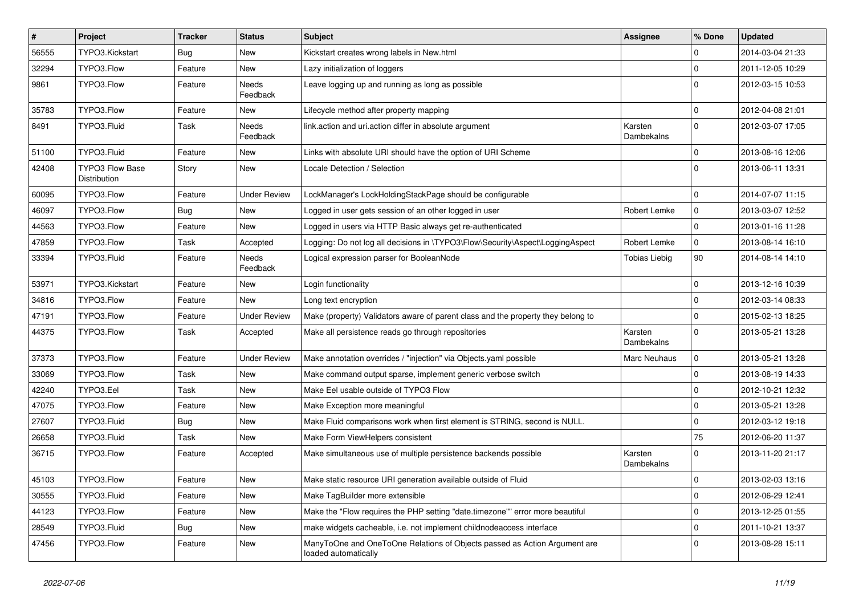| $\pmb{\#}$ | Project                                | <b>Tracker</b> | <b>Status</b>            | <b>Subject</b>                                                                                    | <b>Assignee</b>       | % Done      | <b>Updated</b>   |
|------------|----------------------------------------|----------------|--------------------------|---------------------------------------------------------------------------------------------------|-----------------------|-------------|------------------|
| 56555      | TYPO3.Kickstart                        | Bug            | <b>New</b>               | Kickstart creates wrong labels in New.html                                                        |                       | 0           | 2014-03-04 21:33 |
| 32294      | TYPO3.Flow                             | Feature        | New                      | Lazy initialization of loggers                                                                    |                       | $\mathbf 0$ | 2011-12-05 10:29 |
| 9861       | TYPO3.Flow                             | Feature        | <b>Needs</b><br>Feedback | Leave logging up and running as long as possible                                                  |                       | $\Omega$    | 2012-03-15 10:53 |
| 35783      | TYPO3.Flow                             | Feature        | New                      | Lifecycle method after property mapping                                                           |                       | $\mathbf 0$ | 2012-04-08 21:01 |
| 8491       | TYPO3.Fluid                            | Task           | Needs<br>Feedback        | link.action and uri.action differ in absolute argument                                            | Karsten<br>Dambekalns | $\mathbf 0$ | 2012-03-07 17:05 |
| 51100      | TYPO3.Fluid                            | Feature        | New                      | Links with absolute URI should have the option of URI Scheme                                      |                       | $\mathbf 0$ | 2013-08-16 12:06 |
| 42408      | <b>TYPO3 Flow Base</b><br>Distribution | Story          | New                      | Locale Detection / Selection                                                                      |                       | $\Omega$    | 2013-06-11 13:31 |
| 60095      | TYPO3.Flow                             | Feature        | <b>Under Review</b>      | LockManager's LockHoldingStackPage should be configurable                                         |                       | $\mathbf 0$ | 2014-07-07 11:15 |
| 46097      | TYPO3.Flow                             | <b>Bug</b>     | <b>New</b>               | Logged in user gets session of an other logged in user                                            | Robert Lemke          | $\mathbf 0$ | 2013-03-07 12:52 |
| 44563      | TYPO3.Flow                             | Feature        | <b>New</b>               | Logged in users via HTTP Basic always get re-authenticated                                        |                       | $\Omega$    | 2013-01-16 11:28 |
| 47859      | TYPO3.Flow                             | Task           | Accepted                 | Logging: Do not log all decisions in \TYPO3\Flow\Security\Aspect\LoggingAspect                    | Robert Lemke          | $\mathbf 0$ | 2013-08-14 16:10 |
| 33394      | TYPO3.Fluid                            | Feature        | <b>Needs</b><br>Feedback | Logical expression parser for BooleanNode                                                         | <b>Tobias Liebig</b>  | 90          | 2014-08-14 14:10 |
| 53971      | TYPO3.Kickstart                        | Feature        | New                      | Login functionality                                                                               |                       | $\mathbf 0$ | 2013-12-16 10:39 |
| 34816      | TYPO3.Flow                             | Feature        | New                      | Long text encryption                                                                              |                       | $\mathbf 0$ | 2012-03-14 08:33 |
| 47191      | TYPO3.Flow                             | Feature        | <b>Under Review</b>      | Make (property) Validators aware of parent class and the property they belong to                  |                       | $\mathbf 0$ | 2015-02-13 18:25 |
| 44375      | TYPO3.Flow                             | Task           | Accepted                 | Make all persistence reads go through repositories                                                | Karsten<br>Dambekalns | $\Omega$    | 2013-05-21 13:28 |
| 37373      | TYPO3.Flow                             | Feature        | <b>Under Review</b>      | Make annotation overrides / "injection" via Objects yaml possible                                 | <b>Marc Neuhaus</b>   | $\mathbf 0$ | 2013-05-21 13:28 |
| 33069      | TYPO3.Flow                             | Task           | New                      | Make command output sparse, implement generic verbose switch                                      |                       | $\mathbf 0$ | 2013-08-19 14:33 |
| 42240      | TYPO3.Eel                              | Task           | New                      | Make Eel usable outside of TYPO3 Flow                                                             |                       | $\mathbf 0$ | 2012-10-21 12:32 |
| 47075      | TYPO3.Flow                             | Feature        | New                      | Make Exception more meaningful                                                                    |                       | $\mathbf 0$ | 2013-05-21 13:28 |
| 27607      | TYPO3.Fluid                            | <b>Bug</b>     | New                      | Make Fluid comparisons work when first element is STRING, second is NULL.                         |                       | $\mathbf 0$ | 2012-03-12 19:18 |
| 26658      | TYPO3.Fluid                            | Task           | New                      | Make Form ViewHelpers consistent                                                                  |                       | 75          | 2012-06-20 11:37 |
| 36715      | TYPO3.Flow                             | Feature        | Accepted                 | Make simultaneous use of multiple persistence backends possible                                   | Karsten<br>Dambekalns | $\Omega$    | 2013-11-20 21:17 |
| 45103      | TYPO3.Flow                             | Feature        | New                      | Make static resource URI generation available outside of Fluid                                    |                       | $\mathbf 0$ | 2013-02-03 13:16 |
| 30555      | TYPO3.Fluid                            | Feature        | New                      | Make TagBuilder more extensible                                                                   |                       | $\mathbf 0$ | 2012-06-29 12:41 |
| 44123      | TYPO3.Flow                             | Feature        | New                      | Make the "Flow requires the PHP setting "date.timezone"" error more beautiful                     |                       | $\mathbf 0$ | 2013-12-25 01:55 |
| 28549      | TYPO3.Fluid                            | Bug            | New                      | make widgets cacheable, i.e. not implement childnodeaccess interface                              |                       | $\mathbf 0$ | 2011-10-21 13:37 |
| 47456      | TYPO3.Flow                             | Feature        | New                      | ManyToOne and OneToOne Relations of Objects passed as Action Argument are<br>loaded automatically |                       | $\Omega$    | 2013-08-28 15:11 |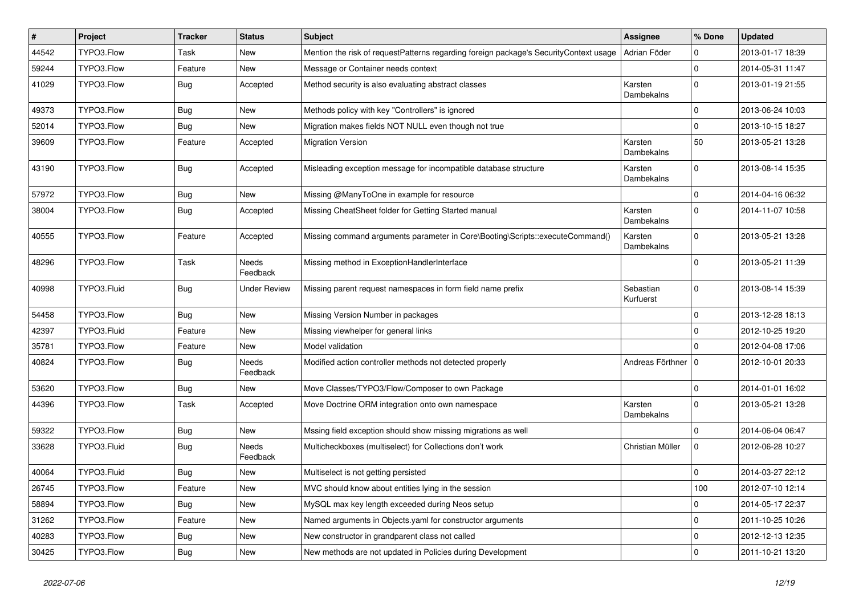| #     | Project     | <b>Tracker</b> | <b>Status</b>            | <b>Subject</b>                                                                        | <b>Assignee</b>        | % Done       | <b>Updated</b>   |
|-------|-------------|----------------|--------------------------|---------------------------------------------------------------------------------------|------------------------|--------------|------------------|
| 44542 | TYPO3.Flow  | <b>Task</b>    | New                      | Mention the risk of requestPatterns regarding foreign package's SecurityContext usage | Adrian Föder           | 0            | 2013-01-17 18:39 |
| 59244 | TYPO3.Flow  | Feature        | New                      | Message or Container needs context                                                    |                        | $\mathbf 0$  | 2014-05-31 11:47 |
| 41029 | TYPO3.Flow  | <b>Bug</b>     | Accepted                 | Method security is also evaluating abstract classes                                   | Karsten<br>Dambekalns  | $\Omega$     | 2013-01-19 21:55 |
| 49373 | TYPO3.Flow  | <b>Bug</b>     | <b>New</b>               | Methods policy with key "Controllers" is ignored                                      |                        | $\mathbf{0}$ | 2013-06-24 10:03 |
| 52014 | TYPO3.Flow  | Bug            | New                      | Migration makes fields NOT NULL even though not true                                  |                        | $\mathbf 0$  | 2013-10-15 18:27 |
| 39609 | TYPO3.Flow  | Feature        | Accepted                 | <b>Migration Version</b>                                                              | Karsten<br>Dambekalns  | 50           | 2013-05-21 13:28 |
| 43190 | TYPO3.Flow  | <b>Bug</b>     | Accepted                 | Misleading exception message for incompatible database structure                      | Karsten<br>Dambekalns  | $\Omega$     | 2013-08-14 15:35 |
| 57972 | TYPO3.Flow  | <b>Bug</b>     | <b>New</b>               | Missing @ManyToOne in example for resource                                            |                        | $\mathbf{0}$ | 2014-04-16 06:32 |
| 38004 | TYPO3.Flow  | <b>Bug</b>     | Accepted                 | Missing CheatSheet folder for Getting Started manual                                  | Karsten<br>Dambekalns  | $\Omega$     | 2014-11-07 10:58 |
| 40555 | TYPO3.Flow  | Feature        | Accepted                 | Missing command arguments parameter in Core\Booting\Scripts::executeCommand()         | Karsten<br>Dambekalns  | $\Omega$     | 2013-05-21 13:28 |
| 48296 | TYPO3.Flow  | <b>Task</b>    | <b>Needs</b><br>Feedback | Missing method in ExceptionHandlerInterface                                           |                        | $\Omega$     | 2013-05-21 11:39 |
| 40998 | TYPO3.Fluid | <b>Bug</b>     | <b>Under Review</b>      | Missing parent request namespaces in form field name prefix                           | Sebastian<br>Kurfuerst | $\Omega$     | 2013-08-14 15:39 |
| 54458 | TYPO3.Flow  | <b>Bug</b>     | New                      | Missing Version Number in packages                                                    |                        | $\Omega$     | 2013-12-28 18:13 |
| 42397 | TYPO3.Fluid | Feature        | New                      | Missing viewhelper for general links                                                  |                        | $\mathbf{0}$ | 2012-10-25 19:20 |
| 35781 | TYPO3.Flow  | Feature        | New                      | Model validation                                                                      |                        | $\mathbf{0}$ | 2012-04-08 17:06 |
| 40824 | TYPO3.Flow  | <b>Bug</b>     | Needs<br>Feedback        | Modified action controller methods not detected properly                              | Andreas Förthner   0   |              | 2012-10-01 20:33 |
| 53620 | TYPO3.Flow  | <b>Bug</b>     | New                      | Move Classes/TYPO3/Flow/Composer to own Package                                       |                        | $\mathbf 0$  | 2014-01-01 16:02 |
| 44396 | TYPO3.Flow  | Task           | Accepted                 | Move Doctrine ORM integration onto own namespace                                      | Karsten<br>Dambekalns  | $\Omega$     | 2013-05-21 13:28 |
| 59322 | TYPO3.Flow  | Bug            | New                      | Mssing field exception should show missing migrations as well                         |                        | $\Omega$     | 2014-06-04 06:47 |
| 33628 | TYPO3.Fluid | <b>Bug</b>     | <b>Needs</b><br>Feedback | Multicheckboxes (multiselect) for Collections don't work                              | Christian Müller       | $\mathbf 0$  | 2012-06-28 10:27 |
| 40064 | TYPO3.Fluid | <b>Bug</b>     | New                      | Multiselect is not getting persisted                                                  |                        | 0            | 2014-03-27 22:12 |
| 26745 | TYPO3.Flow  | Feature        | New                      | MVC should know about entities lying in the session                                   |                        | 100          | 2012-07-10 12:14 |
| 58894 | TYPO3.Flow  | <b>Bug</b>     | New                      | MySQL max key length exceeded during Neos setup                                       |                        | $\mathbf 0$  | 2014-05-17 22:37 |
| 31262 | TYPO3.Flow  | Feature        | New                      | Named arguments in Objects.yaml for constructor arguments                             |                        | 0            | 2011-10-25 10:26 |
| 40283 | TYPO3.Flow  | <b>Bug</b>     | New                      | New constructor in grandparent class not called                                       |                        | 0            | 2012-12-13 12:35 |
| 30425 | TYPO3.Flow  | <b>Bug</b>     | New                      | New methods are not updated in Policies during Development                            |                        | $\mathbf 0$  | 2011-10-21 13:20 |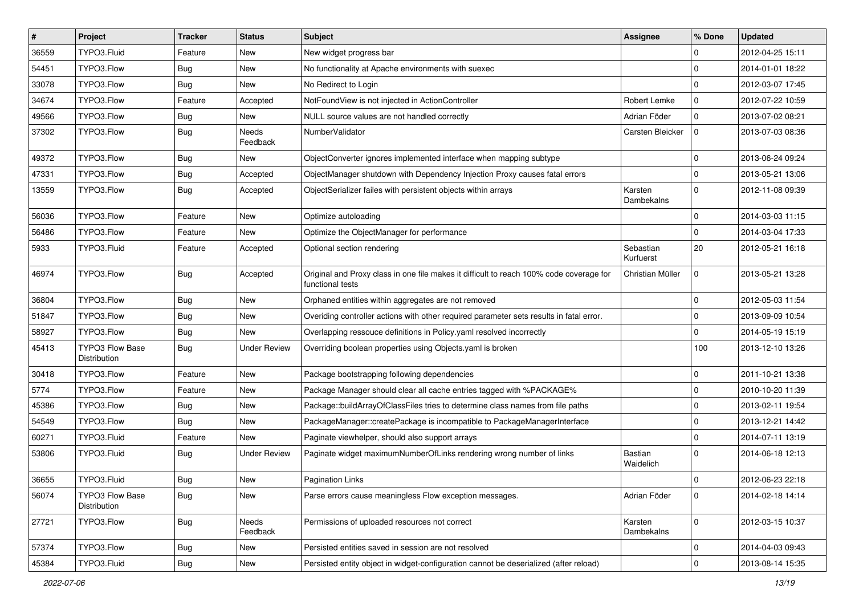| $\vert$ # | Project                                | <b>Tracker</b> | <b>Status</b>       | Subject                                                                                                     | <b>Assignee</b>        | % Done              | <b>Updated</b>   |
|-----------|----------------------------------------|----------------|---------------------|-------------------------------------------------------------------------------------------------------------|------------------------|---------------------|------------------|
| 36559     | TYPO3.Fluid                            | Feature        | New                 | New widget progress bar                                                                                     |                        | $\mathbf 0$         | 2012-04-25 15:11 |
| 54451     | TYPO3.Flow                             | <b>Bug</b>     | New                 | No functionality at Apache environments with suexec                                                         |                        | $\mathbf 0$         | 2014-01-01 18:22 |
| 33078     | TYPO3.Flow                             | Bug            | New                 | No Redirect to Login                                                                                        |                        | $\mathbf 0$         | 2012-03-07 17:45 |
| 34674     | TYPO3.Flow                             | Feature        | Accepted            | NotFoundView is not injected in ActionController                                                            | Robert Lemke           | $\mathbf 0$         | 2012-07-22 10:59 |
| 49566     | TYPO3.Flow                             | <b>Bug</b>     | New                 | NULL source values are not handled correctly                                                                | Adrian Föder           | $\mathbf 0$         | 2013-07-02 08:21 |
| 37302     | TYPO3.Flow                             | Bug            | Needs<br>Feedback   | NumberValidator                                                                                             | Carsten Bleicker       | $\mathbf 0$         | 2013-07-03 08:36 |
| 49372     | TYPO3.Flow                             | <b>Bug</b>     | New                 | ObjectConverter ignores implemented interface when mapping subtype                                          |                        | $\mathbf 0$         | 2013-06-24 09:24 |
| 47331     | TYPO3.Flow                             | <b>Bug</b>     | Accepted            | ObjectManager shutdown with Dependency Injection Proxy causes fatal errors                                  |                        | $\mathbf 0$         | 2013-05-21 13:06 |
| 13559     | TYPO3.Flow                             | <b>Bug</b>     | Accepted            | ObjectSerializer failes with persistent objects within arrays                                               | Karsten<br>Dambekalns  | $\Omega$            | 2012-11-08 09:39 |
| 56036     | TYPO3.Flow                             | Feature        | New                 | Optimize autoloading                                                                                        |                        | $\mathbf 0$         | 2014-03-03 11:15 |
| 56486     | TYPO3.Flow                             | Feature        | New                 | Optimize the ObjectManager for performance                                                                  |                        | $\mathbf 0$         | 2014-03-04 17:33 |
| 5933      | TYPO3.Fluid                            | Feature        | Accepted            | Optional section rendering                                                                                  | Sebastian<br>Kurfuerst | 20                  | 2012-05-21 16:18 |
| 46974     | TYPO3.Flow                             | <b>Bug</b>     | Accepted            | Original and Proxy class in one file makes it difficult to reach 100% code coverage for<br>functional tests | Christian Müller       | $\mathbf 0$         | 2013-05-21 13:28 |
| 36804     | TYPO3.Flow                             | <b>Bug</b>     | New                 | Orphaned entities within aggregates are not removed                                                         |                        | $\mathbf 0$         | 2012-05-03 11:54 |
| 51847     | TYPO3.Flow                             | Bug            | New                 | Overiding controller actions with other required parameter sets results in fatal error.                     |                        | $\mathbf 0$         | 2013-09-09 10:54 |
| 58927     | TYPO3.Flow                             | <b>Bug</b>     | New                 | Overlapping ressouce definitions in Policy.yaml resolved incorrectly                                        |                        | $\mathbf 0$         | 2014-05-19 15:19 |
| 45413     | TYPO3 Flow Base<br>Distribution        | <b>Bug</b>     | <b>Under Review</b> | Overriding boolean properties using Objects.yaml is broken                                                  |                        | 100                 | 2013-12-10 13:26 |
| 30418     | TYPO3.Flow                             | Feature        | New                 | Package bootstrapping following dependencies                                                                |                        | $\mathbf 0$         | 2011-10-21 13:38 |
| 5774      | TYPO3.Flow                             | Feature        | New                 | Package Manager should clear all cache entries tagged with %PACKAGE%                                        |                        | $\mathbf 0$         | 2010-10-20 11:39 |
| 45386     | TYPO3.Flow                             | <b>Bug</b>     | New                 | Package::buildArrayOfClassFiles tries to determine class names from file paths                              |                        | $\mathbf 0$         | 2013-02-11 19:54 |
| 54549     | TYPO3.Flow                             | Bug            | New                 | PackageManager::createPackage is incompatible to PackageManagerInterface                                    |                        | $\mathbf 0$         | 2013-12-21 14:42 |
| 60271     | TYPO3.Fluid                            | Feature        | New                 | Paginate viewhelper, should also support arrays                                                             |                        | $\mathbf 0$         | 2014-07-11 13:19 |
| 53806     | TYPO3.Fluid                            | <b>Bug</b>     | <b>Under Review</b> | Paginate widget maximumNumberOfLinks rendering wrong number of links                                        | Bastian<br>Waidelich   | $\Omega$            | 2014-06-18 12:13 |
| 36655     | TYPO3.Fluid                            | Bug            | New                 | <b>Pagination Links</b>                                                                                     |                        | $\mathbf 0$         | 2012-06-23 22:18 |
| 56074     | <b>TYPO3 Flow Base</b><br>Distribution | <b>Bug</b>     | New                 | Parse errors cause meaningless Flow exception messages.                                                     | Adrian Föder           | $\mathbf 0$         | 2014-02-18 14:14 |
| 27721     | TYPO3.Flow                             | <b>Bug</b>     | Needs<br>Feedback   | Permissions of uploaded resources not correct                                                               | Karsten<br>Dambekalns  | $\mathbf 0$         | 2012-03-15 10:37 |
| 57374     | TYPO3.Flow                             | Bug            | New                 | Persisted entities saved in session are not resolved                                                        |                        | $\mathbf 0$         | 2014-04-03 09:43 |
| 45384     | TYPO3.Fluid                            | Bug            | New                 | Persisted entity object in widget-configuration cannot be deserialized (after reload)                       |                        | $\mathsf{O}\xspace$ | 2013-08-14 15:35 |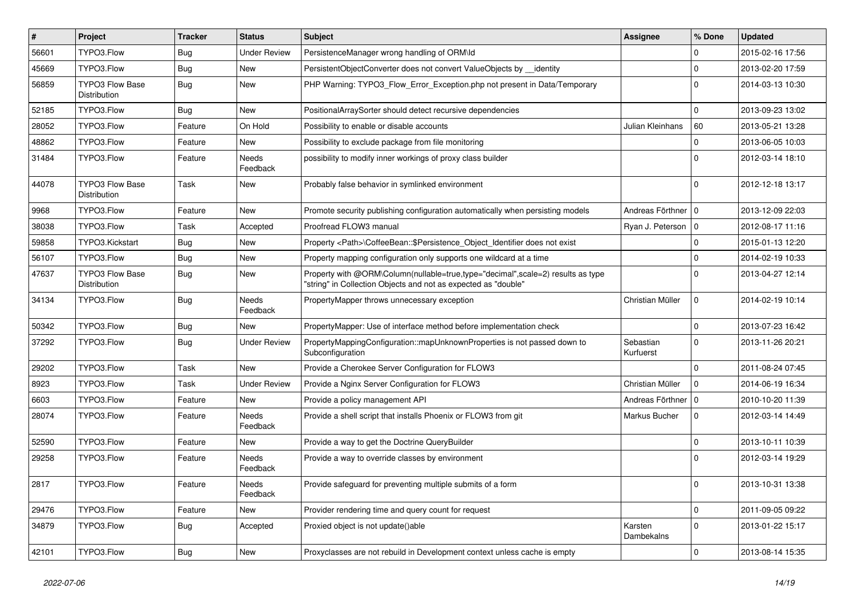| $\vert$ # | <b>Project</b>                         | <b>Tracker</b> | <b>Status</b>       | Subject                                                                                                                                           | <b>Assignee</b>        | % Done              | <b>Updated</b>   |
|-----------|----------------------------------------|----------------|---------------------|---------------------------------------------------------------------------------------------------------------------------------------------------|------------------------|---------------------|------------------|
| 56601     | TYPO3.Flow                             | <b>Bug</b>     | Under Review        | PersistenceManager wrong handling of ORM\ld                                                                                                       |                        | $\Omega$            | 2015-02-16 17:56 |
| 45669     | TYPO3.Flow                             | <b>Bug</b>     | New                 | PersistentObjectConverter does not convert ValueObjects by __identity                                                                             |                        | $\mathbf 0$         | 2013-02-20 17:59 |
| 56859     | <b>TYPO3 Flow Base</b><br>Distribution | Bug            | New                 | PHP Warning: TYPO3_Flow_Error_Exception.php not present in Data/Temporary                                                                         |                        | $\Omega$            | 2014-03-13 10:30 |
| 52185     | TYPO3.Flow                             | <b>Bug</b>     | New                 | PositionalArraySorter should detect recursive dependencies                                                                                        |                        | $\Omega$            | 2013-09-23 13:02 |
| 28052     | TYPO3.Flow                             | Feature        | On Hold             | Possibility to enable or disable accounts                                                                                                         | Julian Kleinhans       | 60                  | 2013-05-21 13:28 |
| 48862     | TYPO3.Flow                             | Feature        | New                 | Possibility to exclude package from file monitoring                                                                                               |                        | $\mathbf 0$         | 2013-06-05 10:03 |
| 31484     | TYPO3.Flow                             | Feature        | Needs<br>Feedback   | possibility to modify inner workings of proxy class builder                                                                                       |                        | $\Omega$            | 2012-03-14 18:10 |
| 44078     | <b>TYPO3 Flow Base</b><br>Distribution | Task           | New                 | Probably false behavior in symlinked environment                                                                                                  |                        | $\Omega$            | 2012-12-18 13:17 |
| 9968      | TYPO3.Flow                             | Feature        | New                 | Promote security publishing configuration automatically when persisting models                                                                    | Andreas Förthner   0   |                     | 2013-12-09 22:03 |
| 38038     | TYPO3.Flow                             | Task           | Accepted            | Proofread FLOW3 manual                                                                                                                            | Ryan J. Peterson   0   |                     | 2012-08-17 11:16 |
| 59858     | TYPO3.Kickstart                        | <b>Bug</b>     | New                 | Property <path>\CoffeeBean::\$Persistence_Object_Identifier does not exist</path>                                                                 |                        | $\Omega$            | 2015-01-13 12:20 |
| 56107     | TYPO3.Flow                             | <b>Bug</b>     | New                 | Property mapping configuration only supports one wildcard at a time                                                                               |                        | $\Omega$            | 2014-02-19 10:33 |
| 47637     | <b>TYPO3 Flow Base</b><br>Distribution | <b>Bug</b>     | New                 | Property with @ORM\Column(nullable=true,type="decimal",scale=2) results as type<br>"string" in Collection Objects and not as expected as "double" |                        | $\Omega$            | 2013-04-27 12:14 |
| 34134     | TYPO3.Flow                             | <b>Bug</b>     | Needs<br>Feedback   | PropertyMapper throws unnecessary exception                                                                                                       | Christian Müller       | $\mathbf 0$         | 2014-02-19 10:14 |
| 50342     | TYPO3.Flow                             | <b>Bug</b>     | New                 | PropertyMapper: Use of interface method before implementation check                                                                               |                        | $\Omega$            | 2013-07-23 16:42 |
| 37292     | TYPO3.Flow                             | <b>Bug</b>     | <b>Under Review</b> | PropertyMappingConfiguration::mapUnknownProperties is not passed down to<br>Subconfiguration                                                      | Sebastian<br>Kurfuerst | $\Omega$            | 2013-11-26 20:21 |
| 29202     | TYPO3.Flow                             | Task           | New                 | Provide a Cherokee Server Configuration for FLOW3                                                                                                 |                        | $\Omega$            | 2011-08-24 07:45 |
| 8923      | TYPO3.Flow                             | Task           | Under Review        | Provide a Nginx Server Configuration for FLOW3                                                                                                    | Christian Müller       | $\mathbf 0$         | 2014-06-19 16:34 |
| 6603      | TYPO3.Flow                             | Feature        | New                 | Provide a policy management API                                                                                                                   | Andreas Förthner   0   |                     | 2010-10-20 11:39 |
| 28074     | TYPO3.Flow                             | Feature        | Needs<br>Feedback   | Provide a shell script that installs Phoenix or FLOW3 from git                                                                                    | Markus Bucher          | $\mathbf 0$         | 2012-03-14 14:49 |
| 52590     | TYPO3.Flow                             | Feature        | New                 | Provide a way to get the Doctrine QueryBuilder                                                                                                    |                        | $\mathbf 0$         | 2013-10-11 10:39 |
| 29258     | TYPO3.Flow                             | Feature        | Needs<br>Feedback   | Provide a way to override classes by environment                                                                                                  |                        | $\Omega$            | 2012-03-14 19:29 |
| 2817      | TYPO3.Flow                             | Feature        | Needs<br>Feedback   | Provide safeguard for preventing multiple submits of a form                                                                                       |                        |                     | 2013-10-31 13:38 |
| 29476     | TYPO3.Flow                             | Feature        | New                 | Provider rendering time and query count for request                                                                                               |                        | $\mathbf 0$         | 2011-09-05 09:22 |
| 34879     | TYPO3.Flow                             | <b>Bug</b>     | Accepted            | Proxied object is not update()able                                                                                                                | Karsten<br>Dambekalns  | $\mathbf{0}$        | 2013-01-22 15:17 |
| 42101     | TYPO3.Flow                             | <b>Bug</b>     | New                 | Proxyclasses are not rebuild in Development context unless cache is empty                                                                         |                        | $\mathsf{O}\xspace$ | 2013-08-14 15:35 |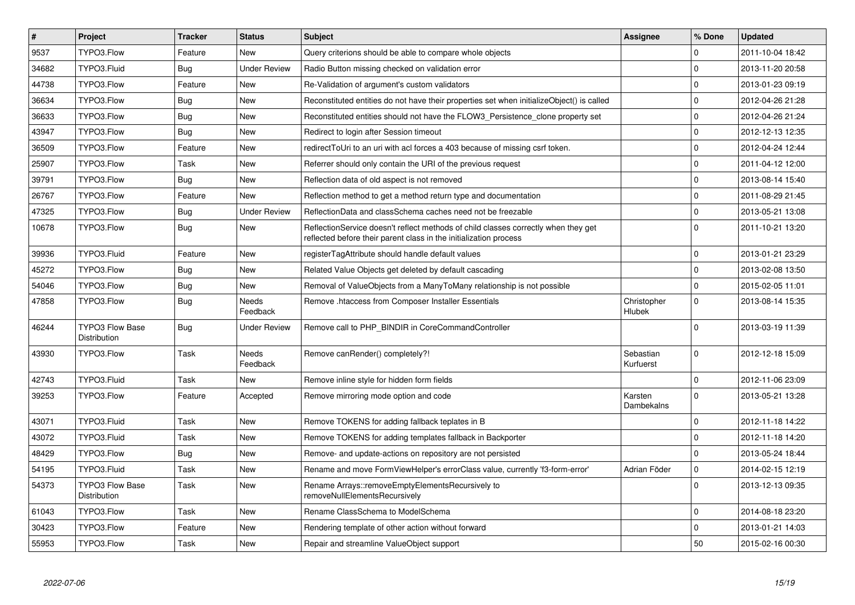| $\vert$ # | Project                                | <b>Tracker</b> | <b>Status</b>       | <b>Subject</b>                                                                                                                                          | Assignee               | % Done              | <b>Updated</b>   |
|-----------|----------------------------------------|----------------|---------------------|---------------------------------------------------------------------------------------------------------------------------------------------------------|------------------------|---------------------|------------------|
| 9537      | TYPO3.Flow                             | Feature        | <b>New</b>          | Query criterions should be able to compare whole objects                                                                                                |                        | $\Omega$            | 2011-10-04 18:42 |
| 34682     | TYPO3.Fluid                            | <b>Bug</b>     | <b>Under Review</b> | Radio Button missing checked on validation error                                                                                                        |                        | $\Omega$            | 2013-11-20 20:58 |
| 44738     | TYPO3.Flow                             | Feature        | New                 | Re-Validation of argument's custom validators                                                                                                           |                        | $\mathbf 0$         | 2013-01-23 09:19 |
| 36634     | TYPO3.Flow                             | Bug            | <b>New</b>          | Reconstituted entities do not have their properties set when initializeObject() is called                                                               |                        | $\mathbf 0$         | 2012-04-26 21:28 |
| 36633     | TYPO3.Flow                             | Bug            | New                 | Reconstituted entities should not have the FLOW3 Persistence clone property set                                                                         |                        | $\mathbf 0$         | 2012-04-26 21:24 |
| 43947     | TYPO3.Flow                             | <b>Bug</b>     | <b>New</b>          | Redirect to login after Session timeout                                                                                                                 |                        | $\mathbf 0$         | 2012-12-13 12:35 |
| 36509     | TYPO3.Flow                             | Feature        | New                 | redirectToUri to an uri with acl forces a 403 because of missing csrf token.                                                                            |                        | $\mathbf 0$         | 2012-04-24 12:44 |
| 25907     | TYPO3.Flow                             | Task           | New                 | Referrer should only contain the URI of the previous request                                                                                            |                        | $\mathbf 0$         | 2011-04-12 12:00 |
| 39791     | TYPO3.Flow                             | <b>Bug</b>     | New                 | Reflection data of old aspect is not removed                                                                                                            |                        | $\mathbf 0$         | 2013-08-14 15:40 |
| 26767     | TYPO3.Flow                             | Feature        | New                 | Reflection method to get a method return type and documentation                                                                                         |                        | $\mathbf 0$         | 2011-08-29 21:45 |
| 47325     | TYPO3.Flow                             | Bug            | <b>Under Review</b> | ReflectionData and classSchema caches need not be freezable                                                                                             |                        | $\mathbf 0$         | 2013-05-21 13:08 |
| 10678     | TYPO3.Flow                             | <b>Bug</b>     | New                 | ReflectionService doesn't reflect methods of child classes correctly when they get<br>reflected before their parent class in the initialization process |                        | $\Omega$            | 2011-10-21 13:20 |
| 39936     | TYPO3.Fluid                            | Feature        | New                 | registerTagAttribute should handle default values                                                                                                       |                        | $\mathbf 0$         | 2013-01-21 23:29 |
| 45272     | TYPO3.Flow                             | <b>Bug</b>     | New                 | Related Value Objects get deleted by default cascading                                                                                                  |                        | $\mathbf 0$         | 2013-02-08 13:50 |
| 54046     | TYPO3.Flow                             | <b>Bug</b>     | New                 | Removal of ValueObjects from a ManyToMany relationship is not possible                                                                                  |                        | 0                   | 2015-02-05 11:01 |
| 47858     | TYPO3.Flow                             | Bug            | Needs<br>Feedback   | Remove .htaccess from Composer Installer Essentials                                                                                                     | Christopher<br>Hlubek  | $\mathbf 0$         | 2013-08-14 15:35 |
| 46244     | <b>TYPO3 Flow Base</b><br>Distribution | <b>Bug</b>     | <b>Under Review</b> | Remove call to PHP BINDIR in CoreCommandController                                                                                                      |                        | $\Omega$            | 2013-03-19 11:39 |
| 43930     | TYPO3.Flow                             | Task           | Needs<br>Feedback   | Remove canRender() completely?!                                                                                                                         | Sebastian<br>Kurfuerst | $\Omega$            | 2012-12-18 15:09 |
| 42743     | TYPO3.Fluid                            | Task           | New                 | Remove inline style for hidden form fields                                                                                                              |                        | $\Omega$            | 2012-11-06 23:09 |
| 39253     | TYPO3.Flow                             | Feature        | Accepted            | Remove mirroring mode option and code                                                                                                                   | Karsten<br>Dambekalns  | $\mathbf 0$         | 2013-05-21 13:28 |
| 43071     | TYPO3.Fluid                            | Task           | New                 | Remove TOKENS for adding fallback teplates in B                                                                                                         |                        | $\Omega$            | 2012-11-18 14:22 |
| 43072     | TYPO3.Fluid                            | Task           | New                 | Remove TOKENS for adding templates fallback in Backporter                                                                                               |                        | $\mathbf 0$         | 2012-11-18 14:20 |
| 48429     | TYPO3.Flow                             | <b>Bug</b>     | New                 | Remove- and update-actions on repository are not persisted                                                                                              |                        | $\mathbf 0$         | 2013-05-24 18:44 |
| 54195     | TYPO3.Fluid                            | Task           | New                 | Rename and move FormViewHelper's errorClass value, currently 'f3-form-error'                                                                            | Adrian Föder           | $\mathsf{O}\xspace$ | 2014-02-15 12:19 |
| 54373     | <b>TYPO3 Flow Base</b><br>Distribution | Task           | New                 | Rename Arrays::removeEmptyElementsRecursively to<br>removeNullElementsRecursively                                                                       |                        | $\mathbf{0}$        | 2013-12-13 09:35 |
| 61043     | TYPO3.Flow                             | Task           | <b>New</b>          | Rename ClassSchema to ModelSchema                                                                                                                       |                        | $\mathbf 0$         | 2014-08-18 23:20 |
| 30423     | TYPO3.Flow                             | Feature        | New                 | Rendering template of other action without forward                                                                                                      |                        | $\mathbf 0$         | 2013-01-21 14:03 |
| 55953     | TYPO3.Flow                             | Task           | New                 | Repair and streamline ValueObject support                                                                                                               |                        | 50                  | 2015-02-16 00:30 |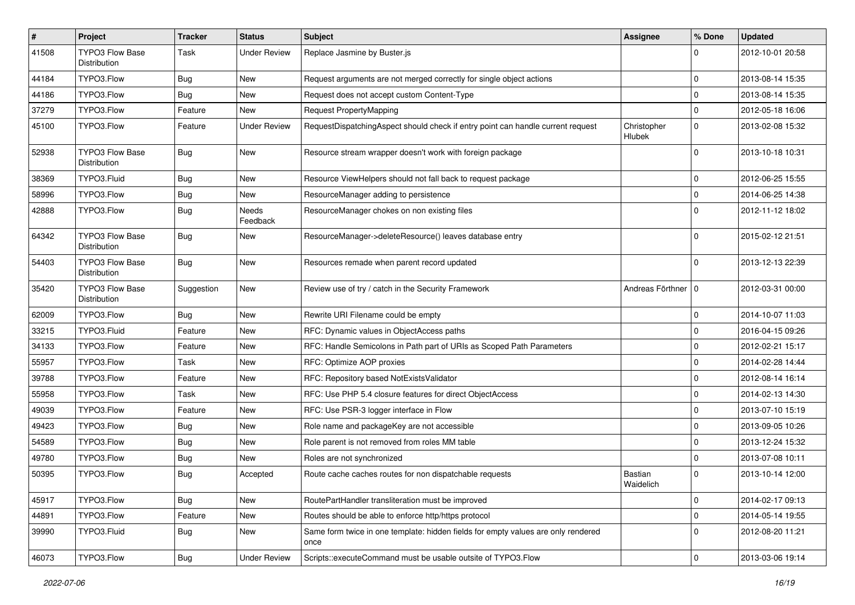| $\pmb{\#}$ | <b>Project</b>                                | <b>Tracker</b> | <b>Status</b>       | <b>Subject</b>                                                                            | <b>Assignee</b>       | % Done              | <b>Updated</b>   |
|------------|-----------------------------------------------|----------------|---------------------|-------------------------------------------------------------------------------------------|-----------------------|---------------------|------------------|
| 41508      | <b>TYPO3 Flow Base</b><br><b>Distribution</b> | Task           | <b>Under Review</b> | Replace Jasmine by Buster.js                                                              |                       | 0                   | 2012-10-01 20:58 |
| 44184      | TYPO3.Flow                                    | <b>Bug</b>     | New                 | Request arguments are not merged correctly for single object actions                      |                       | $\Omega$            | 2013-08-14 15:35 |
| 44186      | TYPO3.Flow                                    | <b>Bug</b>     | New                 | Request does not accept custom Content-Type                                               |                       | $\Omega$            | 2013-08-14 15:35 |
| 37279      | TYPO3.Flow                                    | Feature        | New                 | Request PropertyMapping                                                                   |                       | $\mathbf 0$         | 2012-05-18 16:06 |
| 45100      | TYPO3.Flow                                    | Feature        | <b>Under Review</b> | RequestDispatchingAspect should check if entry point can handle current request           | Christopher<br>Hlubek | $\mathbf 0$         | 2013-02-08 15:32 |
| 52938      | <b>TYPO3 Flow Base</b><br>Distribution        | <b>Bug</b>     | New                 | Resource stream wrapper doesn't work with foreign package                                 |                       | $\Omega$            | 2013-10-18 10:31 |
| 38369      | TYPO3.Fluid                                   | <b>Bug</b>     | New                 | Resource ViewHelpers should not fall back to request package                              |                       | 0                   | 2012-06-25 15:55 |
| 58996      | TYPO3.Flow                                    | <b>Bug</b>     | New                 | ResourceManager adding to persistence                                                     |                       | $\mathbf 0$         | 2014-06-25 14:38 |
| 42888      | TYPO3.Flow                                    | <b>Bug</b>     | Needs<br>Feedback   | ResourceManager chokes on non existing files                                              |                       | $\Omega$            | 2012-11-12 18:02 |
| 64342      | <b>TYPO3 Flow Base</b><br>Distribution        | <b>Bug</b>     | New                 | ResourceManager->deleteResource() leaves database entry                                   |                       | <sup>0</sup>        | 2015-02-12 21:51 |
| 54403      | <b>TYPO3 Flow Base</b><br>Distribution        | <b>Bug</b>     | New                 | Resources remade when parent record updated                                               |                       | $\Omega$            | 2013-12-13 22:39 |
| 35420      | TYPO3 Flow Base<br><b>Distribution</b>        | Suggestion     | New                 | Review use of try / catch in the Security Framework                                       | Andreas Förthner 10   |                     | 2012-03-31 00:00 |
| 62009      | TYPO3.Flow                                    | <b>Bug</b>     | New                 | Rewrite URI Filename could be empty                                                       |                       | $\Omega$            | 2014-10-07 11:03 |
| 33215      | TYPO3.Fluid                                   | Feature        | New                 | RFC: Dynamic values in ObjectAccess paths                                                 |                       | $\Omega$            | 2016-04-15 09:26 |
| 34133      | TYPO3.Flow                                    | Feature        | New                 | RFC: Handle Semicolons in Path part of URIs as Scoped Path Parameters                     |                       | $\mathbf 0$         | 2012-02-21 15:17 |
| 55957      | TYPO3.Flow                                    | Task           | New                 | RFC: Optimize AOP proxies                                                                 |                       | $\mathbf 0$         | 2014-02-28 14:44 |
| 39788      | TYPO3.Flow                                    | Feature        | New                 | RFC: Repository based NotExistsValidator                                                  |                       | $\mathbf 0$         | 2012-08-14 16:14 |
| 55958      | TYPO3.Flow                                    | Task           | New                 | RFC: Use PHP 5.4 closure features for direct ObjectAccess                                 |                       | $\Omega$            | 2014-02-13 14:30 |
| 49039      | TYPO3.Flow                                    | Feature        | New                 | RFC: Use PSR-3 logger interface in Flow                                                   |                       | 0                   | 2013-07-10 15:19 |
| 49423      | TYPO3.Flow                                    | <b>Bug</b>     | New                 | Role name and packageKey are not accessible                                               |                       | $\mathbf 0$         | 2013-09-05 10:26 |
| 54589      | TYPO3.Flow                                    | <b>Bug</b>     | New                 | Role parent is not removed from roles MM table                                            |                       | $\mathbf 0$         | 2013-12-24 15:32 |
| 49780      | TYPO3.Flow                                    | Bug            | New                 | Roles are not synchronized                                                                |                       | $\mathbf 0$         | 2013-07-08 10:11 |
| 50395      | TYPO3.Flow                                    | <b>Bug</b>     | Accepted            | Route cache caches routes for non dispatchable requests                                   | Bastian<br>Waidelich  | $\Omega$            | 2013-10-14 12:00 |
| 45917      | TYPO3.Flow                                    | Bug            | New                 | RoutePartHandler transliteration must be improved                                         |                       | 0                   | 2014-02-17 09:13 |
| 44891      | TYPO3.Flow                                    | Feature        | New                 | Routes should be able to enforce http/https protocol                                      |                       | $\mathsf{O}\xspace$ | 2014-05-14 19:55 |
| 39990      | TYPO3.Fluid                                   | <b>Bug</b>     | New                 | Same form twice in one template: hidden fields for empty values are only rendered<br>once |                       | $\Omega$            | 2012-08-20 11:21 |
| 46073      | TYPO3.Flow                                    | <b>Bug</b>     | <b>Under Review</b> | Scripts::executeCommand must be usable outsite of TYPO3.Flow                              |                       | $\mathbf 0$         | 2013-03-06 19:14 |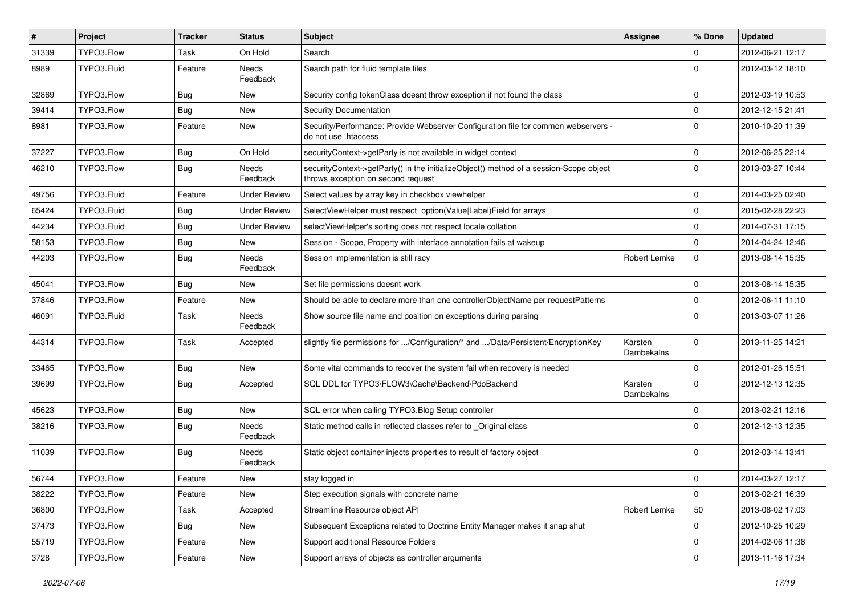| $\sharp$ | Project     | <b>Tracker</b> | <b>Status</b>            | <b>Subject</b>                                                                                                               | Assignee              | % Done       | <b>Updated</b>   |
|----------|-------------|----------------|--------------------------|------------------------------------------------------------------------------------------------------------------------------|-----------------------|--------------|------------------|
| 31339    | TYPO3.Flow  | <b>Task</b>    | On Hold                  | Search                                                                                                                       |                       | $\Omega$     | 2012-06-21 12:17 |
| 8989     | TYPO3.Fluid | Feature        | <b>Needs</b><br>Feedback | Search path for fluid template files                                                                                         |                       | $\Omega$     | 2012-03-12 18:10 |
| 32869    | TYPO3.Flow  | <b>Bug</b>     | New                      | Security config tokenClass doesnt throw exception if not found the class                                                     |                       | $\mathbf 0$  | 2012-03-19 10:53 |
| 39414    | TYPO3.Flow  | <b>Bug</b>     | New                      | Security Documentation                                                                                                       |                       | $\mathbf 0$  | 2012-12-15 21:41 |
| 8981     | TYPO3.Flow  | Feature        | New                      | Security/Performance: Provide Webserver Configuration file for common webservers -<br>do not use .htaccess                   |                       | $\Omega$     | 2010-10-20 11:39 |
| 37227    | TYPO3.Flow  | Bug            | On Hold                  | securityContext->getParty is not available in widget context                                                                 |                       | $\mathbf 0$  | 2012-06-25 22:14 |
| 46210    | TYPO3.Flow  | <b>Bug</b>     | <b>Needs</b><br>Feedback | securityContext->getParty() in the initializeObject() method of a session-Scope object<br>throws exception on second request |                       | $\Omega$     | 2013-03-27 10:44 |
| 49756    | TYPO3.Fluid | Feature        | <b>Under Review</b>      | Select values by array key in checkbox viewhelper                                                                            |                       | $\mathbf 0$  | 2014-03-25 02:40 |
| 65424    | TYPO3.Fluid | <b>Bug</b>     | <b>Under Review</b>      | SelectViewHelper must respect option(Value Label)Field for arrays                                                            |                       | $\mathbf{0}$ | 2015-02-28 22:23 |
| 44234    | TYPO3.Fluid | <b>Bug</b>     | <b>Under Review</b>      | selectViewHelper's sorting does not respect locale collation                                                                 |                       | $\mathbf 0$  | 2014-07-31 17:15 |
| 58153    | TYPO3.Flow  | <b>Bug</b>     | New                      | Session - Scope, Property with interface annotation fails at wakeup                                                          |                       | $\mathbf{0}$ | 2014-04-24 12:46 |
| 44203    | TYPO3.Flow  | <b>Bug</b>     | Needs<br>Feedback        | Session implementation is still racy                                                                                         | Robert Lemke          | $\mathbf{0}$ | 2013-08-14 15:35 |
| 45041    | TYPO3.Flow  | <b>Bug</b>     | New                      | Set file permissions doesnt work                                                                                             |                       | $\Omega$     | 2013-08-14 15:35 |
| 37846    | TYPO3.Flow  | Feature        | New                      | Should be able to declare more than one controllerObjectName per requestPatterns                                             |                       | $\mathbf 0$  | 2012-06-11 11:10 |
| 46091    | TYPO3.Fluid | Task           | Needs<br>Feedback        | Show source file name and position on exceptions during parsing                                                              |                       | $\Omega$     | 2013-03-07 11:26 |
| 44314    | TYPO3.Flow  | <b>Task</b>    | Accepted                 | slightly file permissions for /Configuration/* and /Data/Persistent/EncryptionKey                                            | Karsten<br>Dambekalns | $\Omega$     | 2013-11-25 14:21 |
| 33465    | TYPO3.Flow  | <b>Bug</b>     | New                      | Some vital commands to recover the system fail when recovery is needed                                                       |                       | $\Omega$     | 2012-01-26 15:51 |
| 39699    | TYPO3.Flow  | <b>Bug</b>     | Accepted                 | SQL DDL for TYPO3\FLOW3\Cache\Backend\PdoBackend                                                                             | Karsten<br>Dambekalns | $\Omega$     | 2012-12-13 12:35 |
| 45623    | TYPO3.Flow  | <b>Bug</b>     | New                      | SQL error when calling TYPO3.Blog Setup controller                                                                           |                       | $\mathbf 0$  | 2013-02-21 12:16 |
| 38216    | TYPO3.Flow  | <b>Bug</b>     | Needs<br>Feedback        | Static method calls in reflected classes refer to _Original class                                                            |                       | $\Omega$     | 2012-12-13 12:35 |
| 11039    | TYPO3.Flow  | <b>Bug</b>     | Needs<br>Feedback        | Static object container injects properties to result of factory object                                                       |                       | $\Omega$     | 2012-03-14 13:41 |
| 56744    | TYPO3.Flow  | Feature        | New                      | stay logged in                                                                                                               |                       | $\mathbf 0$  | 2014-03-27 12:17 |
| 38222    | TYPO3.Flow  | Feature        | New                      | Step execution signals with concrete name                                                                                    |                       | $\mathbf 0$  | 2013-02-21 16:39 |
| 36800    | TYPO3.Flow  | Task           | Accepted                 | Streamline Resource object API                                                                                               | Robert Lemke          | 50           | 2013-08-02 17:03 |
| 37473    | TYPO3.Flow  | Bug            | New                      | Subsequent Exceptions related to Doctrine Entity Manager makes it snap shut                                                  |                       | $\mathbf 0$  | 2012-10-25 10:29 |
| 55719    | TYPO3.Flow  | Feature        | New                      | Support additional Resource Folders                                                                                          |                       | $\mathbf 0$  | 2014-02-06 11:38 |
| 3728     | TYPO3.Flow  | Feature        | New                      | Support arrays of objects as controller arguments                                                                            |                       | $\mathbf 0$  | 2013-11-16 17:34 |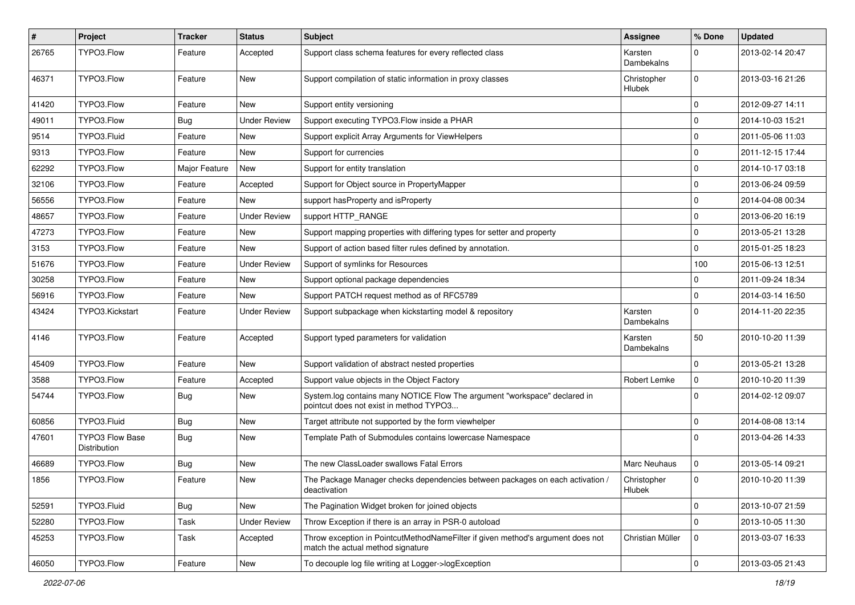| $\#$  | <b>Project</b>                         | <b>Tracker</b> | <b>Status</b>       | <b>Subject</b>                                                                                                       | Assignee                     | % Done         | <b>Updated</b>   |
|-------|----------------------------------------|----------------|---------------------|----------------------------------------------------------------------------------------------------------------------|------------------------------|----------------|------------------|
| 26765 | TYPO3.Flow                             | Feature        | Accepted            | Support class schema features for every reflected class                                                              | Karsten<br>Dambekalns        | $\Omega$       | 2013-02-14 20:47 |
| 46371 | TYPO3.Flow                             | Feature        | New                 | Support compilation of static information in proxy classes                                                           | Christopher<br><b>Hlubek</b> | $\mathbf 0$    | 2013-03-16 21:26 |
| 41420 | TYPO3.Flow                             | Feature        | <b>New</b>          | Support entity versioning                                                                                            |                              | 0              | 2012-09-27 14:11 |
| 49011 | TYPO3.Flow                             | <b>Bug</b>     | <b>Under Review</b> | Support executing TYPO3. Flow inside a PHAR                                                                          |                              | $\Omega$       | 2014-10-03 15:21 |
| 9514  | TYPO3.Fluid                            | Feature        | <b>New</b>          | Support explicit Array Arguments for ViewHelpers                                                                     |                              | $\mathbf 0$    | 2011-05-06 11:03 |
| 9313  | TYPO3.Flow                             | Feature        | New                 | Support for currencies                                                                                               |                              | 0              | 2011-12-15 17:44 |
| 62292 | TYPO3.Flow                             | Major Feature  | New                 | Support for entity translation                                                                                       |                              | $\Omega$       | 2014-10-17 03:18 |
| 32106 | TYPO3.Flow                             | Feature        | Accepted            | Support for Object source in PropertyMapper                                                                          |                              | 0              | 2013-06-24 09:59 |
| 56556 | TYPO3.Flow                             | Feature        | New                 | support has Property and is Property                                                                                 |                              | $\mathbf 0$    | 2014-04-08 00:34 |
| 48657 | TYPO3.Flow                             | Feature        | <b>Under Review</b> | support HTTP_RANGE                                                                                                   |                              | $\mathbf 0$    | 2013-06-20 16:19 |
| 47273 | TYPO3.Flow                             | Feature        | New                 | Support mapping properties with differing types for setter and property                                              |                              | $\mathbf 0$    | 2013-05-21 13:28 |
| 3153  | TYPO3.Flow                             | Feature        | New                 | Support of action based filter rules defined by annotation.                                                          |                              | $\Omega$       | 2015-01-25 18:23 |
| 51676 | TYPO3.Flow                             | Feature        | <b>Under Review</b> | Support of symlinks for Resources                                                                                    |                              | 100            | 2015-06-13 12:51 |
| 30258 | TYPO3.Flow                             | Feature        | New                 | Support optional package dependencies                                                                                |                              | 0              | 2011-09-24 18:34 |
| 56916 | TYPO3.Flow                             | Feature        | New                 | Support PATCH request method as of RFC5789                                                                           |                              | $\Omega$       | 2014-03-14 16:50 |
| 43424 | TYPO3.Kickstart                        | Feature        | Under Review        | Support subpackage when kickstarting model & repository                                                              | Karsten<br>Dambekalns        | $\Omega$       | 2014-11-20 22:35 |
| 4146  | TYPO3.Flow                             | Feature        | Accepted            | Support typed parameters for validation                                                                              | Karsten<br>Dambekalns        | 50             | 2010-10-20 11:39 |
| 45409 | TYPO3.Flow                             | Feature        | New                 | Support validation of abstract nested properties                                                                     |                              | $\Omega$       | 2013-05-21 13:28 |
| 3588  | TYPO3.Flow                             | Feature        | Accepted            | Support value objects in the Object Factory                                                                          | Robert Lemke                 | $\mathbf 0$    | 2010-10-20 11:39 |
| 54744 | TYPO3.Flow                             | <b>Bug</b>     | New                 | System.log contains many NOTICE Flow The argument "workspace" declared in<br>pointcut does not exist in method TYPO3 |                              | $\Omega$       | 2014-02-12 09:07 |
| 60856 | TYPO3.Fluid                            | Bug            | New                 | Target attribute not supported by the form viewhelper                                                                |                              | 0              | 2014-08-08 13:14 |
| 47601 | <b>TYPO3 Flow Base</b><br>Distribution | <b>Bug</b>     | New                 | Template Path of Submodules contains lowercase Namespace                                                             |                              | $\Omega$       | 2013-04-26 14:33 |
| 46689 | TYPO3.Flow                             | <b>Bug</b>     | New                 | The new ClassLoader swallows Fatal Errors                                                                            | <b>Marc Neuhaus</b>          | $\mathbf 0$    | 2013-05-14 09:21 |
| 1856  | TYPO3.Flow                             | Feature        | <b>New</b>          | The Package Manager checks dependencies between packages on each activation /<br>deactivation                        | Christopher<br>Hlubek        | 0              | 2010-10-20 11:39 |
| 52591 | TYPO3.Fluid                            | Bug            | New                 | The Pagination Widget broken for joined objects                                                                      |                              | $\mathbf 0$    | 2013-10-07 21:59 |
| 52280 | TYPO3.Flow                             | Task           | <b>Under Review</b> | Throw Exception if there is an array in PSR-0 autoload                                                               |                              | $\Omega$       | 2013-10-05 11:30 |
| 45253 | TYPO3.Flow                             | Task           | Accepted            | Throw exception in PointcutMethodNameFilter if given method's argument does not<br>match the actual method signature | Christian Müller             | 0              | 2013-03-07 16:33 |
| 46050 | TYPO3.Flow                             | Feature        | New                 | To decouple log file writing at Logger->logException                                                                 |                              | $\overline{0}$ | 2013-03-05 21:43 |